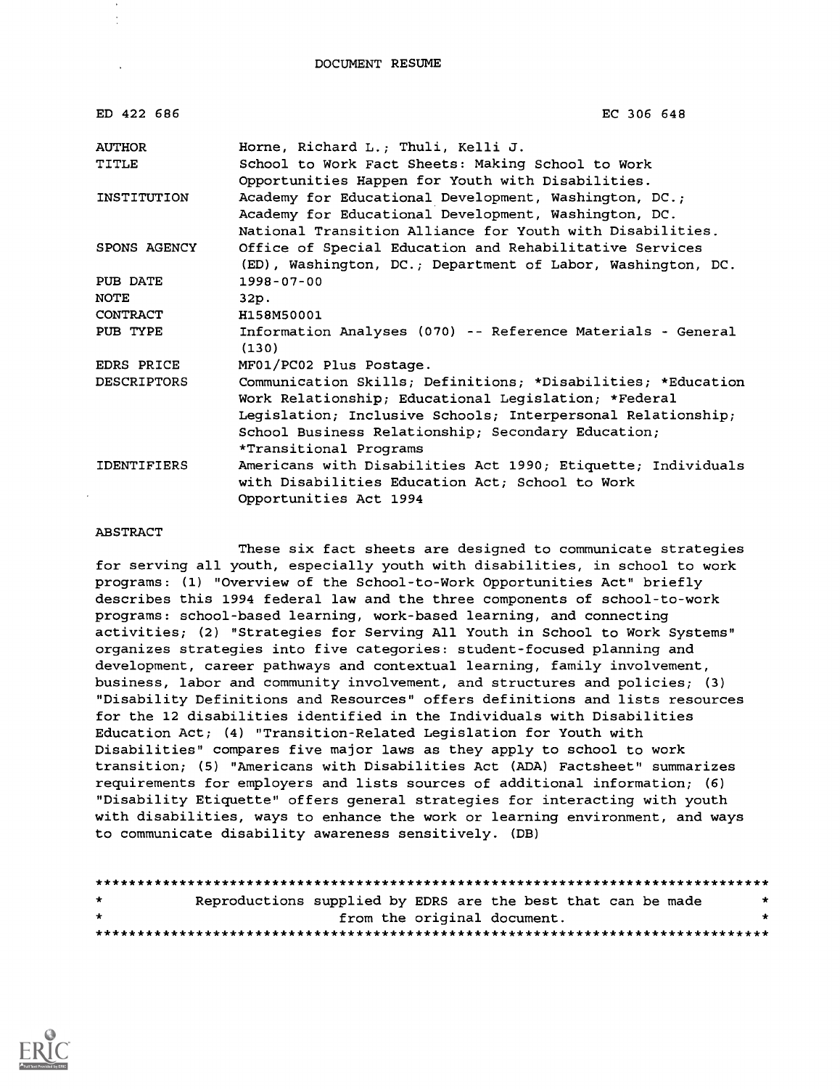| ED 422 686         | EC 306 648                                                                                                                                                                                                                                                          |
|--------------------|---------------------------------------------------------------------------------------------------------------------------------------------------------------------------------------------------------------------------------------------------------------------|
| <b>AUTHOR</b>      | Horne, Richard L.; Thuli, Kelli J.                                                                                                                                                                                                                                  |
| TITLE              | School to Work Fact Sheets: Making School to Work<br>Opportunities Happen for Youth with Disabilities.                                                                                                                                                              |
| INSTITUTION        | Academy for Educational Development, Washington, DC.;<br>Academy for Educational Development, Washington, DC.<br>National Transition Alliance for Youth with Disabilities.                                                                                          |
| SPONS AGENCY       | Office of Special Education and Rehabilitative Services<br>(ED), Washington, DC.; Department of Labor, Washington, DC.                                                                                                                                              |
| PUB DATE           | $1998 - 07 - 00$                                                                                                                                                                                                                                                    |
| <b>NOTE</b>        | 32p.                                                                                                                                                                                                                                                                |
| CONTRACT           | H158M50001                                                                                                                                                                                                                                                          |
| PUB TYPE           | Information Analyses (070) -- Reference Materials - General<br>(130)                                                                                                                                                                                                |
| EDRS PRICE         | MF01/PC02 Plus Postage.                                                                                                                                                                                                                                             |
| <b>DESCRIPTORS</b> | Communication Skills; Definitions; *Disabilities; *Education<br>Work Relationship; Educational Legislation; *Federal<br>Legislation; Inclusive Schools; Interpersonal Relationship;<br>School Business Relationship; Secondary Education;<br>*Transitional Programs |
| <b>IDENTIFIERS</b> | Americans with Disabilities Act 1990; Etiquette; Individuals<br>with Disabilities Education Act; School to Work<br>Opportunities Act 1994                                                                                                                           |

#### ABSTRACT

These six fact sheets are designed to communicate strategies for serving all youth, especially youth with disabilities, in school to work programs: (1) "Overview of the School-to-Work Opportunities Act" briefly describes this 1994 federal law and the three components of school-to-work programs: school-based learning, work-based learning, and connecting activities; (2) "Strategies for Serving All Youth in School to Work Systems" organizes strategies into five categories: student-focused planning and development, career pathways and contextual learning, family involvement, business, labor and community involvement, and structures and policies; (3) "Disability Definitions and Resources" offers definitions and lists resources for the 12 disabilities identified in the Individuals with Disabilities Education Act; (4) "Transition-Related Legislation for Youth with Disabilities" compares five major laws as they apply to school to work transition; (5) "Americans with Disabilities Act (ADA) Factsheet" summarizes requirements for employers and lists sources of additional information; (6) "Disability Etiquette" offers general strategies for interacting with youth with disabilities, ways to enhance the work or learning environment, and ways to communicate disability awareness sensitively. (DB)

| $\star$      | Reproductions supplied by EDRS are the best that can be made |  |                             | * |
|--------------|--------------------------------------------------------------|--|-----------------------------|---|
| $\mathbf{r}$ |                                                              |  | from the original document. |   |
|              |                                                              |  |                             |   |

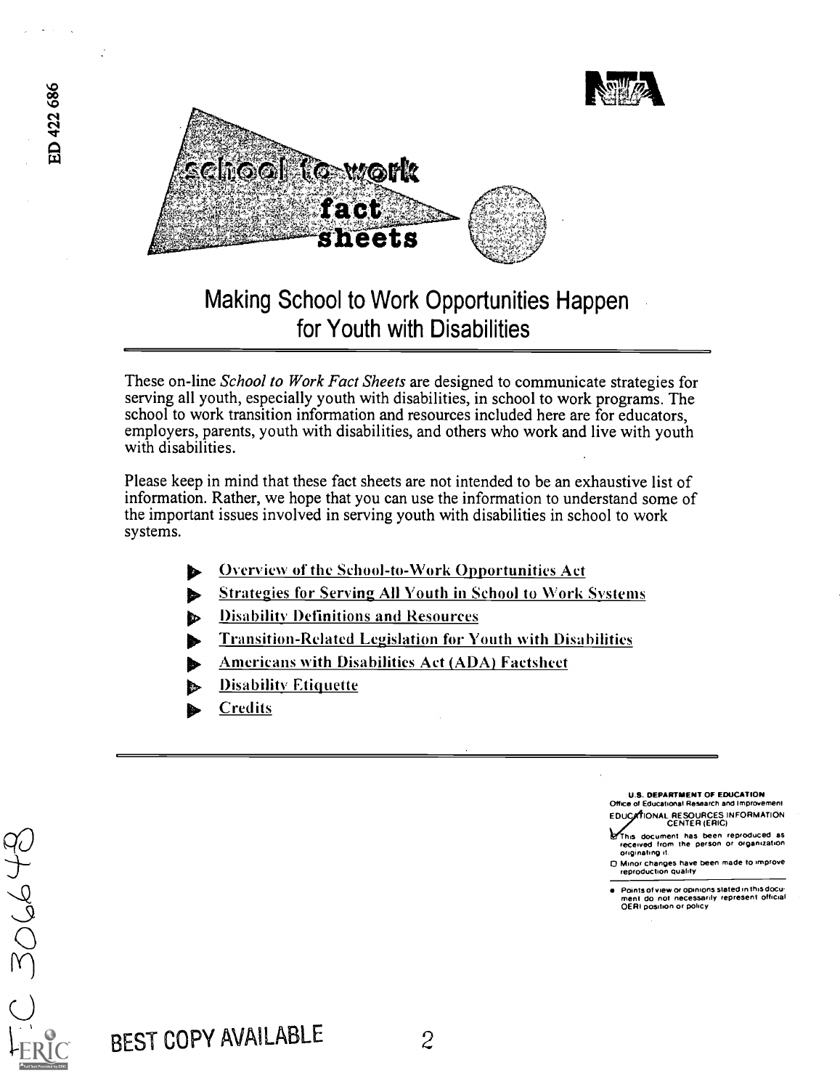

## Making School to Work Opportunities Happen for Youth with Disabilities

These on-line School to Work Fact Sheets are designed to communicate strategies for serving all youth, especially youth with disabilities, in school to work programs. The school to work transition information and resources included here are for educators, employers, parents, youth with disabilities, and others who work and live with youth with disabilities.

Please keep in mind that these fact sheets are not intended to be an exhaustive list of information. Rather, we hope that you can use the information to understand some of the important issues involved in serving youth with disabilities in school to work systems.

- $\blacktriangleright$  Overview of the School-to-Work Opportunities Act
- Strategies for Serving All Youth in School to Work Systems
- Disability Definitions and Resources Ь
- **Transition-Related Legislation for Youth with Disabilities**
- Americans with Disabilities Act (ADA) Factsheet
- Disability Etiquette
- **Credits**

U.S. DEPARTMENT OF EDUCATION Office of Educational Research and Improvement EDUC IONAL RESOURCES INFORMATION CENTER (ERIC)

This document has been reproduced as received from the person or organization originating it

0 Minor changes have been made to improve reprOdUCtion Quality

Points of view or opinions stated in this docu-<br>ment ido inot: necessarily represent iofficial<br>OERI position or policy

C 30648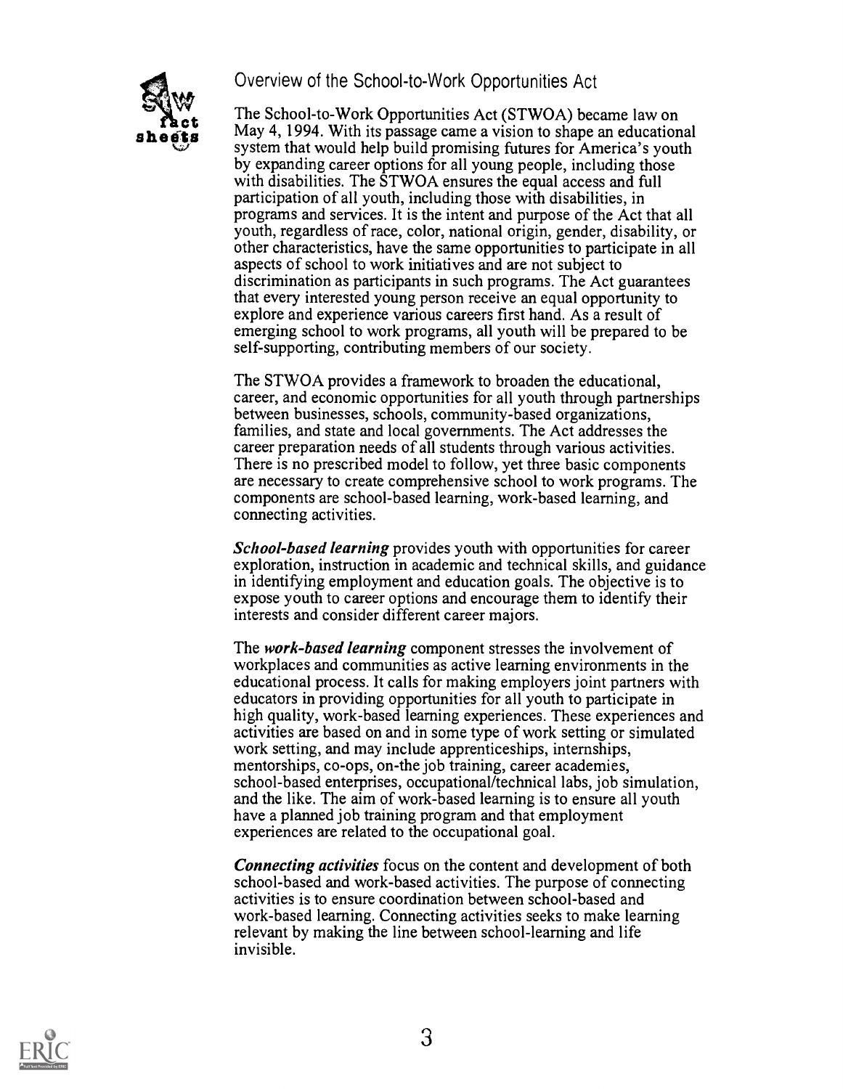### Overview of the School-to-Work Opportunities Act



**Comparison Constraint Constraint SET And School-to-Work Opportunities Act (STWOA) became law on<br>
Refts** May 4, 1994. With its passage came a vision to shape an educational<br>
system that would help build promising futures The School-to-Work Opportunities Act (STWOA) became law on system that would help build promising futures for America's youth by expanding career options for all young people, including those with disabilities. The STWOA ensures the equal access and full participation of all youth, including those with disabilities, in programs and services. It is the intent and purpose of the Act that all youth, regardless of race, color, national origin, gender, disability, or other characteristics, have the same opportunities to participate in all aspects of school to work initiatives and are not subject to discrimination as participants in such programs. The Act guarantees that every interested young person receive an equal opportunity to explore and experience various careers first hand. As a result of emerging school to work programs, all youth will be prepared to be self-supporting, contributing members of our society.

> The STWOA provides a framework to broaden the educational, career, and economic opportunities for all youth through partnerships between businesses, schools, community-based organizations, families, and state and local governments. The Act addresses the career preparation needs of all students through various activities. There is no prescribed model to follow, yet three basic components are necessary to create comprehensive school to work programs. The components are school-based learning, work-based learning, and connecting activities.

School-based learning provides youth with opportunities for career exploration, instruction in academic and technical skills, and guidance in identifying employment and education goals. The objective is to expose youth to career options and encourage them to identify their interests and consider different career majors.

The work-based learning component stresses the involvement of workplaces and communities as active learning environments in the educational process. It calls for making employers joint partners with educators in providing opportunities for all youth to participate in high quality, work-based learning experiences. These experiences and activities are based on and in some type of work setting or simulated work setting, and may include apprenticeships, internships, mentorships, co-ops, on-the job training, career academies, school-based enterprises, occupational/technical labs, job simulation, and the like. The aim of work-based learning is to ensure all youth have a planned job training program and that employment experiences are related to the occupational goal.

Connecting activities focus on the content and development of both school-based and work-based activities. The purpose of connecting activities is to ensure coordination between school-based and work-based learning. Connecting activities seeks to make learning relevant by making the line between school-learning and life invisible.

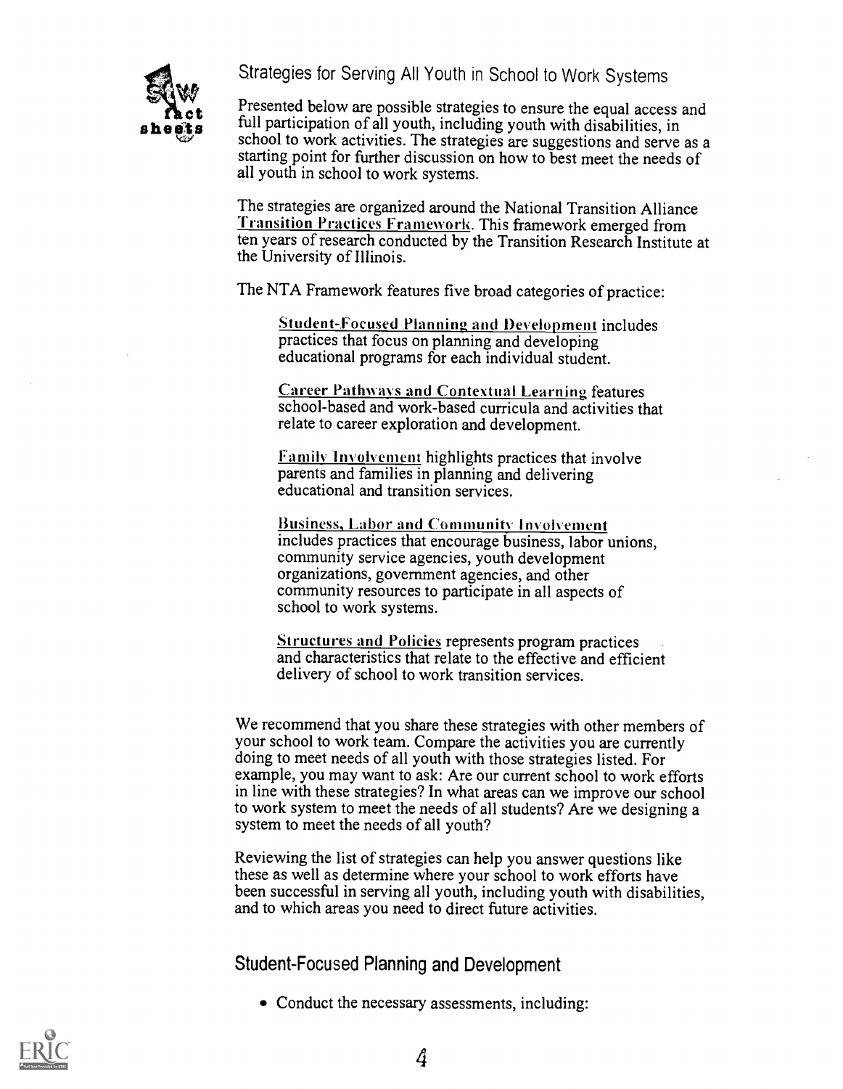Strategies for Serving All Youth in School to Work Systems



**F**  $\alpha$  sheet sheet sheet sheet sheets in the sheets of all youth, including youth with disabilities, in school to work estimines. The strategies are augmention on decree one of  $\alpha$ Presented below are possible strategies to ensure the equal access and school to work activities. The strategies are suggestions and serve as a starting point for further discussion on how to best meet the needs of all youth in school to work systems.

> The strategies are organized around the National Transition Alliance Transition Practices Framework. This framework emerged from ten years of research conducted by the Transition Research Institute at the University of Illinois.

The NTA Framework features five broad categories of practice:

Student-Focused Planning and Development includes practices that focus on planning and developing educational programs for each individual student.

**Career Pathways and Contextual Learning features** school-based and work-based curricula and activities that relate to career exploration and development.

Family Involvement highlights practices that involve parents and families in planning and delivering educational and transition services.

Business, Labor and Community Involvement includes practices that encourage business, labor unions, community service agencies, youth development organizations, government agencies, and other community resources to participate in all aspects of school to work systems.

Structures and Policies represents program practices and characteristics that relate to the effective and efficient delivery of school to work transition services.

We recommend that you share these strategies with other members of your school to work team. Compare the activities you are currently doing to meet needs of all youth with those strategies listed. For example, you may want to ask: Are our current school to work efforts in line with these strategies? In what areas can we improve our school to work system to meet the needs of all students? Are we designing a system to meet the needs of all youth?

Reviewing the list of strategies can help you answer questions like these as well as determine where your school to work efforts have been successful in serving all youth, including youth with disabilities, and to which areas you need to direct future activities.

Student-Focused Planning and Development

• Conduct the necessary assessments, including:

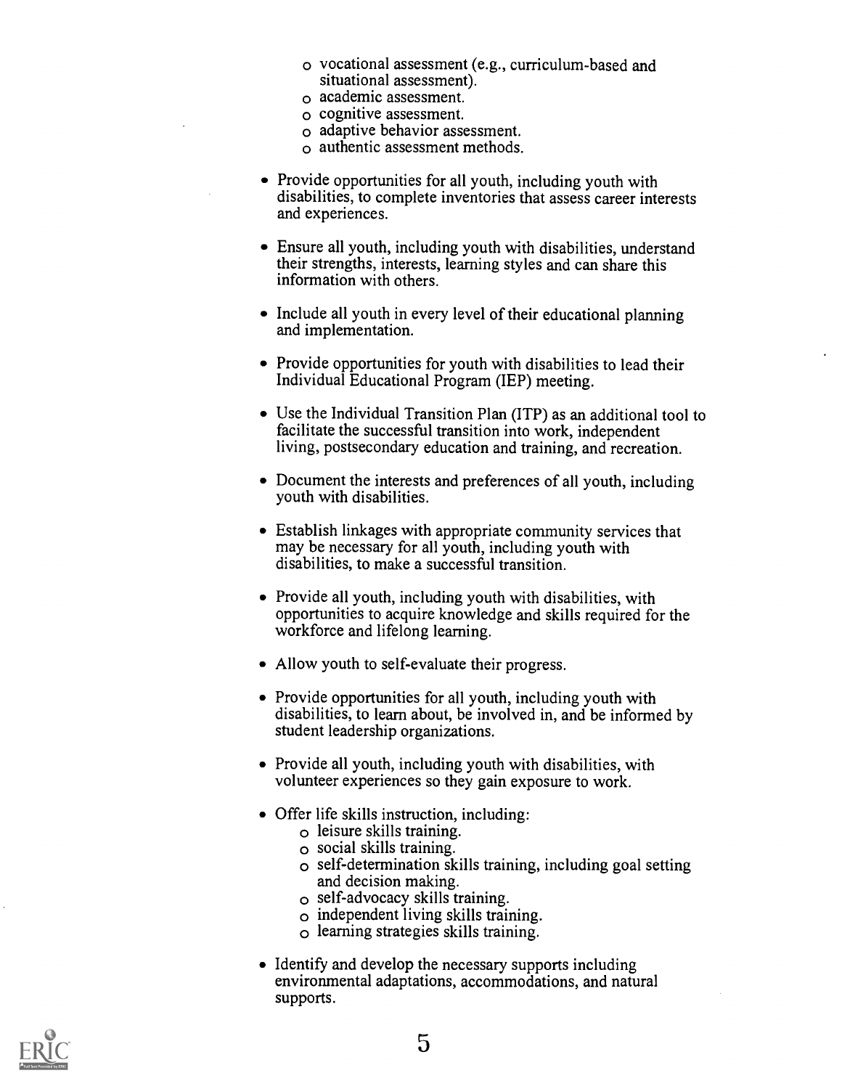- o vocational assessment (e.g., curriculum-based and situational assessment).
- o academic assessment.
- o cognitive assessment.
- o adaptive behavior assessment.
- o authentic assessment methods.
- Provide opportunities for all youth, including youth with disabilities, to complete inventories that assess career interests and experiences.
- Ensure all youth, including youth with disabilities, understand their strengths, interests, learning styles and can share this information with others.
- Include all youth in every level of their educational planning and implementation.
- Provide opportunities for youth with disabilities to lead their Individual Educational Program (IEP) meeting.
- Use the Individual Transition Plan (ITP) as an additional tool to facilitate the successful transition into work, independent living, postsecondary education and training, and recreation.
- Document the interests and preferences of all youth, including youth with disabilities.
- Establish linkages with appropriate community services that may be necessary for all youth, including youth with disabilities, to make a successful transition.
- Provide all youth, including youth with disabilities, with opportunities to acquire knowledge and skills required for the workforce and lifelong learning.
- Allow youth to self-evaluate their progress.
- Provide opportunities for all youth, including youth with disabilities, to learn about, be involved in, and be informed by student leadership organizations.
- Provide all youth, including youth with disabilities, with volunteer experiences so they gain exposure to work.
- Offer life skills instruction, including:
	- o leisure skills training.
	- o social skills training.
	- o self-determination skills training, including goal setting and decision making.
	- o self-advocacy skills training.
	- o independent living skills training.
	- o learning strategies skills training.
- Identify and develop the necessary supports including environmental adaptations, accommodations, and natural supports.

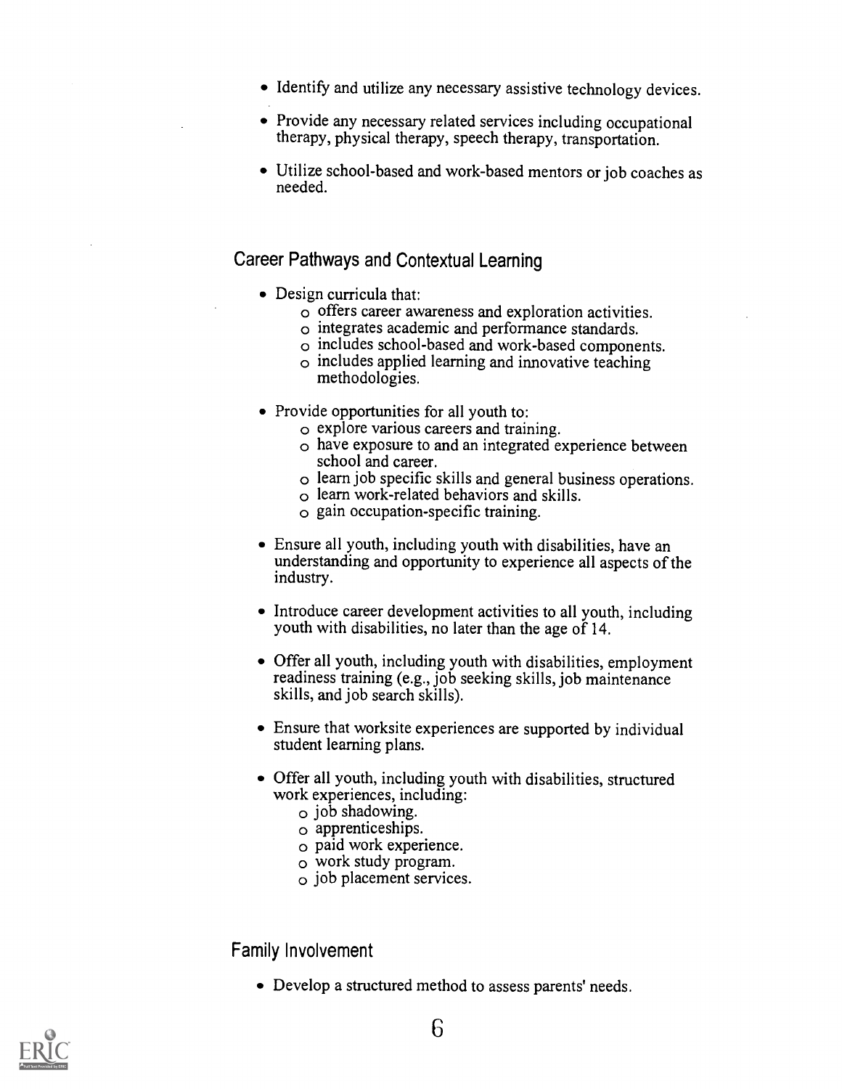- Identify and utilize any necessary assistive technology devices.
- Provide any necessary related services including occupational therapy, physical therapy, speech therapy, transportation.
- Utilize school-based and work-based mentors or job coaches as needed.

## Career Pathways and Contextual Learning

- Design curricula that:
	- o offers career awareness and exploration activities.
	- o integrates academic and performance standards.
	- o includes school-based and work-based components.
	- o includes applied learning and innovative teaching methodologies.
- Provide opportunities for all youth to:
	- o explore various careers and training.
	- o have exposure to and an integrated experience between school and career.
	- o learn job specific skills and general business operations.
	- o learn work-related behaviors and skills.
	- o gain occupation-specific training.
- Ensure all youth, including youth with disabilities, have an understanding and opportunity to experience all aspects of the industry.
- Introduce career development activities to all youth, including youth with disabilities, no later than the age of 14.
- Offer all youth, including youth with disabilities, employment readiness training (e.g., job seeking skills, job maintenance skills, and job search skills).
- Ensure that worksite experiences are supported by individual student learning plans.
- Offer all youth, including youth with disabilities, structured work experiences, including:
	- $\circ$  job shadowing.<br> $\circ$  apprenticeships.
	-
	- $\circ$  paid work experience.
	- o work study program.
	- o job placement services.

Family Involvement

Develop a structured method to assess parents' needs.

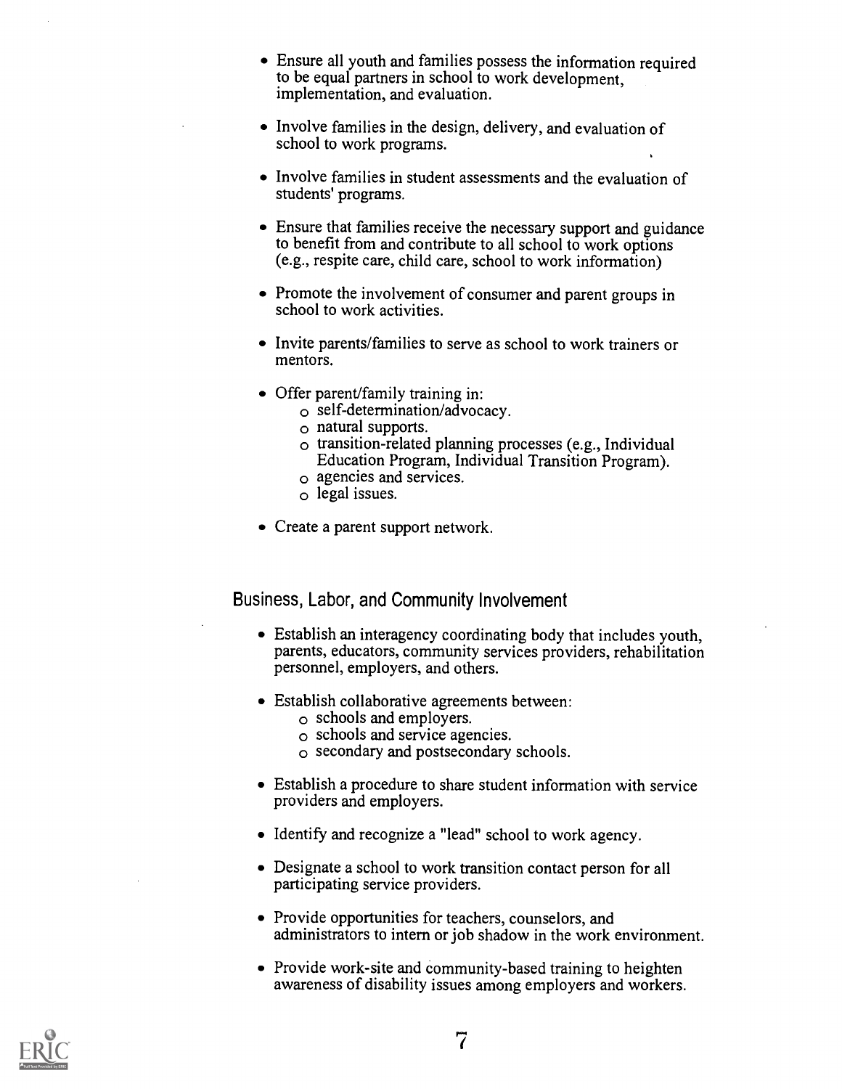- Ensure all youth and families possess the information required to be equal partners in school to work development, implementation, and evaluation.
- Involve families in the design, delivery, and evaluation of school to work programs.
- Involve families in student assessments and the evaluation of students' programs.
- Ensure that families receive the necessary support and guidance to benefit from and contribute to all school to work options (e.g., respite care, child care, school to work information)
- Promote the involvement of consumer and parent groups in school to work activities.
- Invite parents/families to serve as school to work trainers or mentors.
- Offer parent/family training in:
	- o self-determination/advocacy.
	- o natural supports.
	- o transition-related planning processes (e.g., Individual Education Program, Individual Transition Program).
	- o agencies and services.
	- o legal issues.
- Create a parent support network.

Business, Labor, and Community Involvement

- Establish an interagency coordinating body that includes youth, parents, educators, community services providers, rehabilitation personnel, employers, and others.
- Establish collaborative agreements between:
	- o schools and employers.
	- o schools and service agencies.
	- o secondary and postsecondary schools.
- Establish a procedure to share student information with service providers and employers.
- Identify and recognize a "lead" school to work agency.
- Designate a school to work transition contact person for all participating service providers.
- Provide opportunities for teachers, counselors, and administrators to intern or job shadow in the work environment.
- Provide work-site and community-based training to heighten awareness of disability issues among employers and workers.

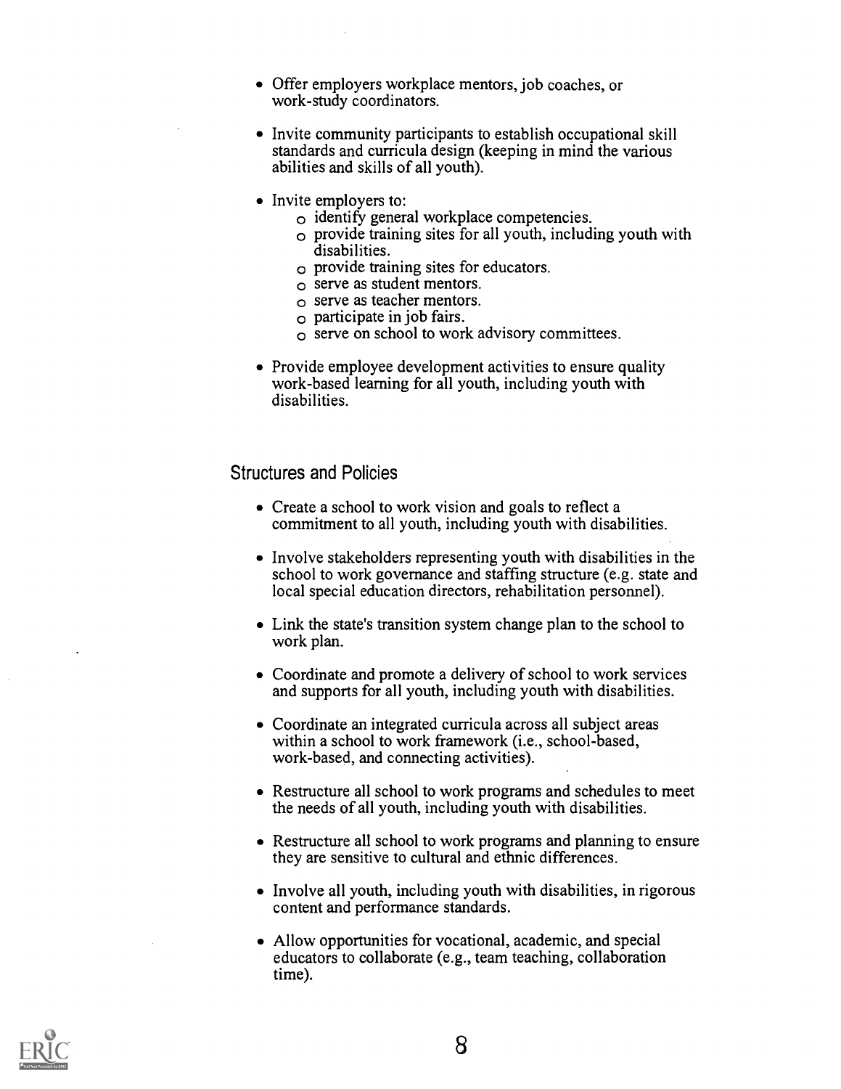- Offer employers workplace mentors, job coaches, or work-study coordinators.
- Invite community participants to establish occupational skill standards and curricula design (keeping in mind the various abilities and skills of all youth).
- Invite employers to:
	- $\circ$  identify general workplace competencies.
	- $\circ$  provide training sites for all youth, including youth with disabilities.
	- o provide training sites for educators.
	- $\circ$  serve as student mentors.
	- o serve as teacher mentors.
	- $\circ$  participate in job fairs.
	- $\circ$  serve on school to work advisory committees.
- Provide employee development activities to ensure quality work-based learning for all youth, including youth with disabilities.

#### Structures and Policies

- Create a school to work vision and goals to reflect a commitment to all youth, including youth with disabilities.
- Involve stakeholders representing youth with disabilities in the school to work governance and staffing structure (e.g. state and local special education directors, rehabilitation personnel).
- Link the state's transition system change plan to the school to work plan.
- Coordinate and promote a delivery of school to work services and supports for all youth, including youth with disabilities.
- Coordinate an integrated curricula across all subject areas within a school to work framework (i.e., school-based, work-based, and connecting activities).
- Restructure all school to work programs and schedules to meet the needs of all youth, including youth with disabilities.
- Restructure all school to work programs and planning to ensure they are sensitive to cultural and ethnic differences.
- Involve all youth, including youth with disabilities, in rigorous content and performance standards.
- Allow opportunities for vocational, academic, and special educators to collaborate (e.g., team teaching, collaboration time).

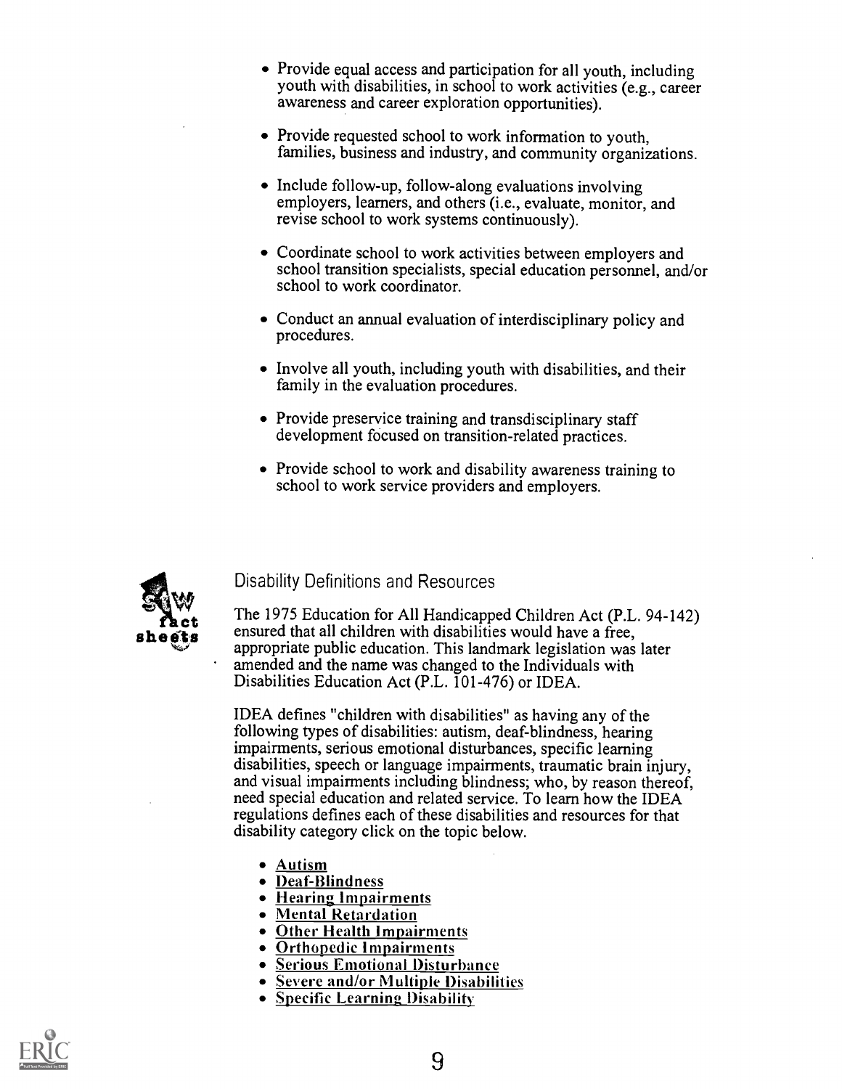- Provide equal access and participation for all youth, including youth with disabilities, in school to work activities (e.g., career awareness and career exploration opportunities).
- Provide requested school to work information to youth, families, business and industry, and community organizations.
- Include follow-up, follow-along evaluations involving employers, learners, and others (i.e., evaluate, monitor, and revise school to work systems continuously).
- Coordinate school to work activities between employers and school transition specialists, special education personnel, and/or school to work coordinator.
- Conduct an annual evaluation of interdisciplinary policy and procedures.
- Involve all youth, including youth with disabilities, and their family in the evaluation procedures.
- Provide preservice training and transdisciplinary staff development focused on transition-related practices.
- Provide school to work and disability awareness training to school to work service providers and employers.



#### Disability Definitions and Resources

**Contains that the 1975 Education for All Handicapped Children Act (P.L. 94-1)**<br> **ensured that all children with disabilities would have a free,**<br>
appropriate public education. This landmark locialation was later The 1975 Education for All Handicapped Children Act (P.L. 94-142) appropriate public education. This landmark legislation was later amended and the name was changed to the Individuals with Disabilities Education Act (P.L. 101-476) or IDEA.

> IDEA defines "children with disabilities" as having any of the following types of disabilities: autism, deaf-blindness, hearing impairments, serious emotional disturbances, specific learning disabilities, speech or language impairments, traumatic brain injury, and visual impairments including blindness; who, by reason thereof, need special education and related service. To learn how the IDEA regulations defines each of these disabilities and resources for that disability category click on the topic below.

- Autism
- Deaf-Blindness
- 
- Hearing Impairments<br>• Mental Retardation
- Other Health Impairments
- Orthopedic Impairments
- Serious Emotional Disturbance
- Severe and/or Multiple Disabilities
- Specific Learning Disability

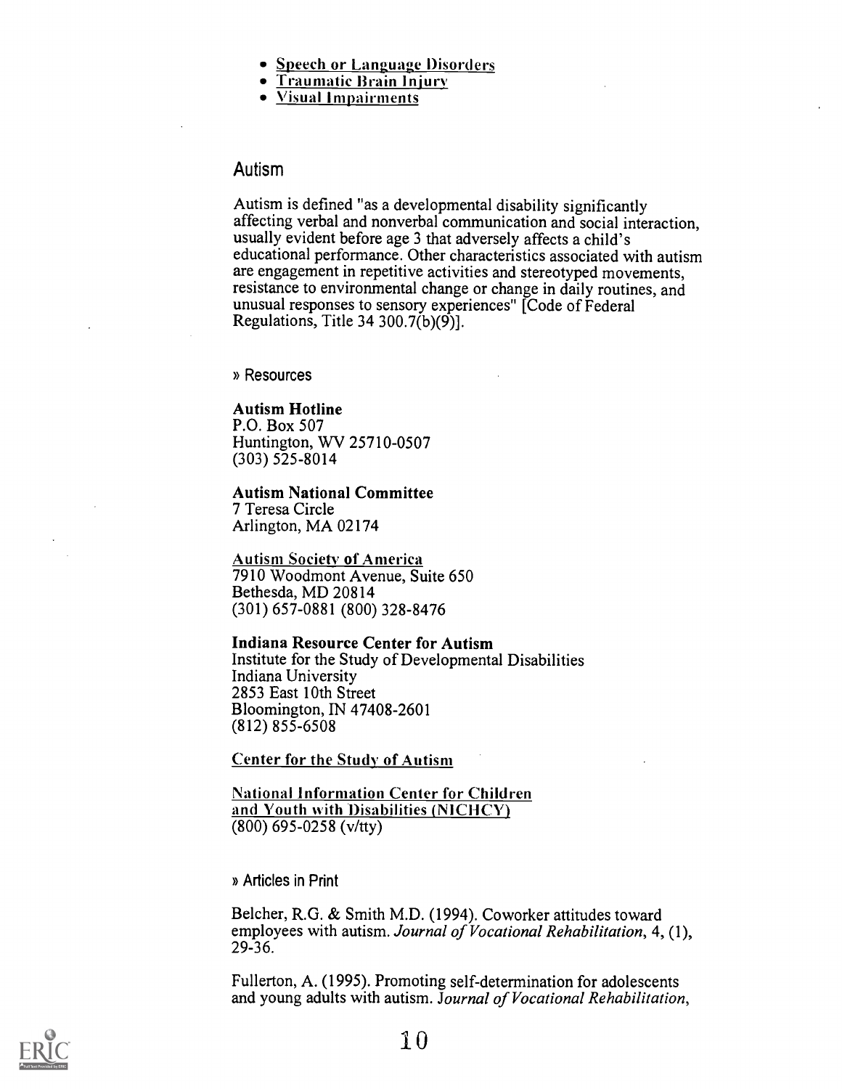- Speech or Language Disorders
- Traumatic Brain Injury<br>• Visual Impairments
- 

#### Autism

Autism is defined "as a developmental disability significantly affecting verbal and nonverbal communication and social interaction, usually evident before age 3 that adversely affects a child's educational performance. Other characteristics associated with autism are engagement in repetitive activities and stereotyped movements, resistance to environmental change or change in daily routines, and unusual responses to sensory experiences" [Code of Federal Regulations, Title 34 300.7 $(b)(9)$ ].

» Resources

#### Autism Hotline

P.O. Box 507 Huntington, WV 25710-0507 (303) 525-8014

Autism National Committee 7 Teresa Circle Arlington, MA 02174

Autism Society of America 7910 Woodmont Avenue, Suite 650 Bethesda, MD 20814 (301) 657-0881 (800) 328-8476

Indiana Resource Center for Autism

Institute for the Study of Developmental Disabilities Indiana University 2853 East 10th Street Bloomington, IN 47408-2601 (812) 855-6508

Center for the Study of Autism

National Information Center for Children and Youth with Disabilities (NICHCY) (800) 695-0258 (v/tty)

» Articles in Print

Belcher, R.G. & Smith M.D. (1994). Coworker attitudes toward employees with autism. Journal of Vocational Rehabilitation, 4, (1), 29-36.

Fullerton, A. (1995). Promoting self-determination for adolescents and young adults with autism. Journal of Vocational Rehabilitation,

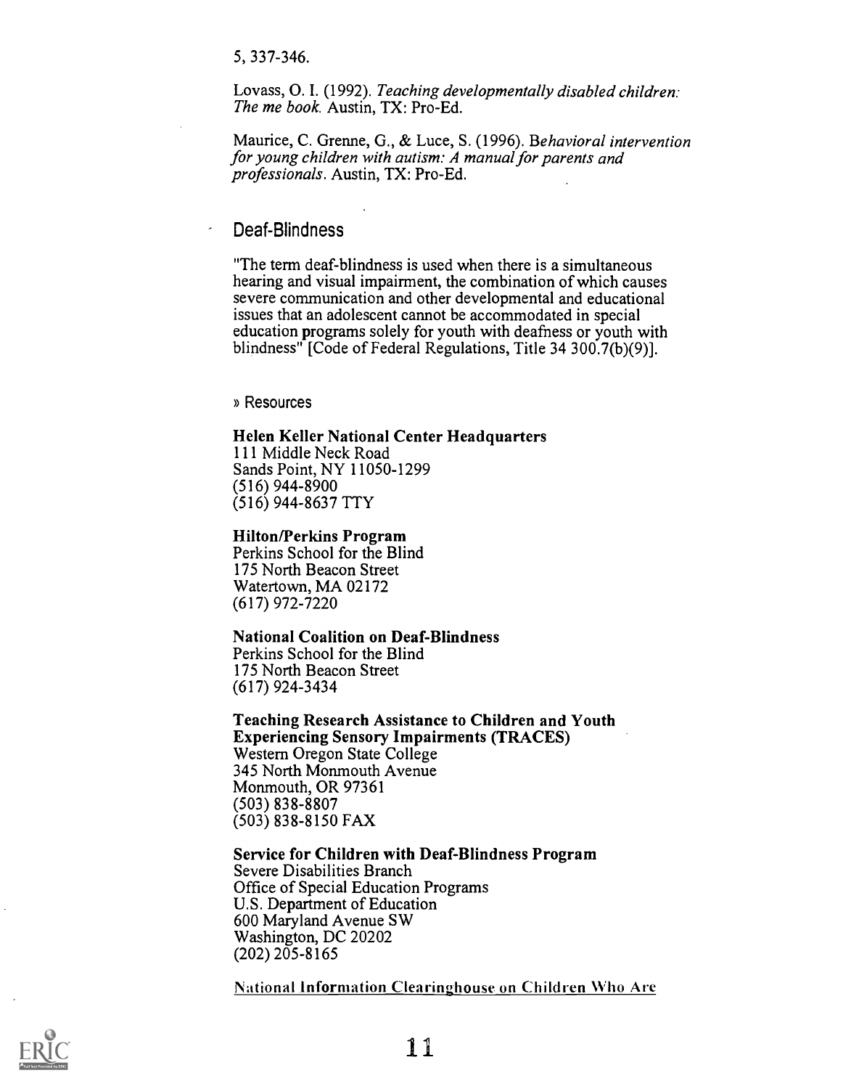5, 337-346.

Lovass, 0. I. (1992). Teaching developmentally disabled children: The me book. Austin, TX: Pro-Ed.

Maurice, C. Grenne, G., & Luce, S. (1996). Behavioral intervention for young children with autism: A manual for parents and professionals. Austin, TX: Pro-Ed.

#### Deaf-Blindness

"The term deaf-blindness is used when there is a simultaneous hearing and visual impairment, the combination of which causes severe communication and other developmental and educational issues that an adolescent cannot be accommodated in special education programs solely for youth with deafness or youth with blindness" [Code of Federal Regulations, Title 34 300.7(b)(9)].

» Resources

#### Helen Keller National Center Headquarters

111 Middle Neck Road Sands Point, NY 11050-1299 (516) 944-8900 (516) 944-8637 TTY

#### Hilton/Perkins Program

Perkins School for the Blind 175 North Beacon Street Watertown, MA 02172 (617) 972-7220

#### National Coalition on Deaf-Blindness

Perkins School for the Blind 175 North Beacon Street (617) 924-3434

Teaching Research Assistance to Children and Youth Experiencing Sensory Impairments (TRACES) Western Oregon State College 345 North Monmouth Avenue Monmouth, OR 97361 (503) 838-8807 (503) 838-8150 FAX

#### Service for Children with Deaf-Blindness Program Severe Disabilities Branch Office of Special Education Programs

U.S. Department of Education 600 Maryland Avenue SW Washington, DC 20202 (202) 205-8165

National information Clearinghouse on Children Who Are

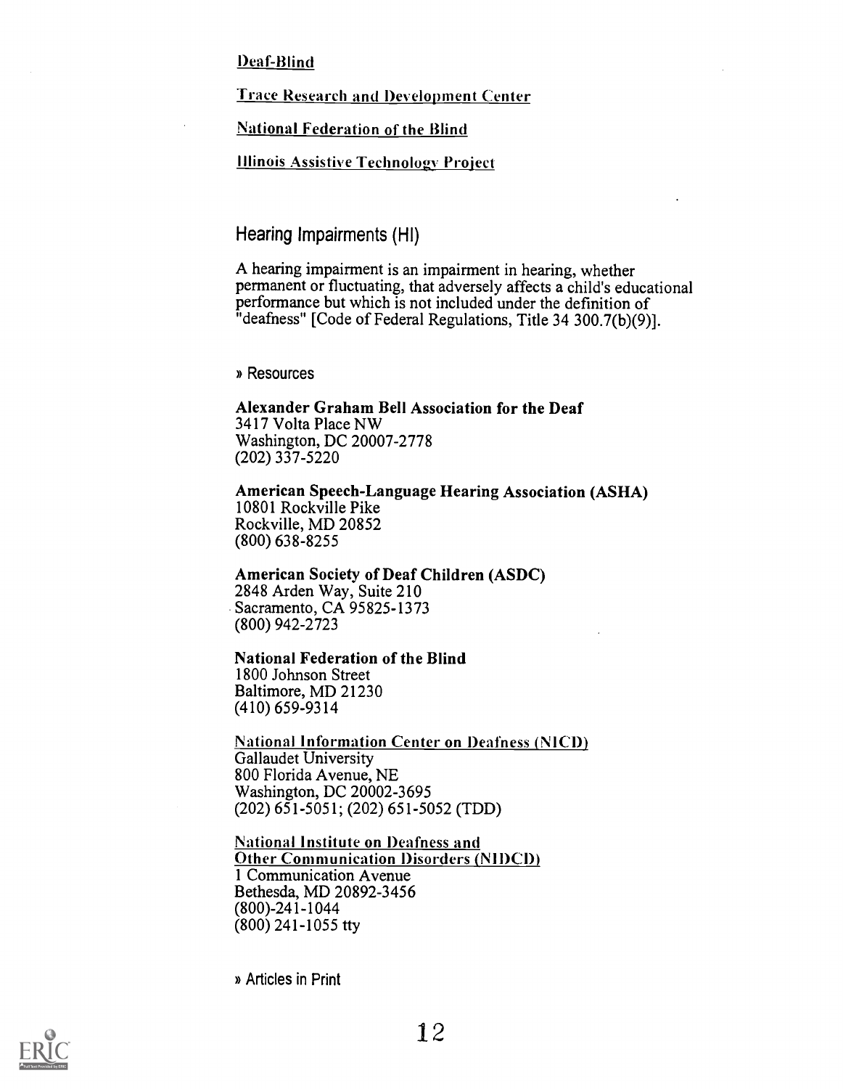Deaf-Blind

Trace Research and Development Center

**National Federation of the Blind** 

Illinois Assistive Technology Project.

Hearing Impairments (HI)

A hearing impairment is an impairment in hearing, whether permanent or fluctuating, that adversely affects a child's educational performance but which is not included under the definition of "deafness" [Code of Federal Regulations, Title 34 300.7(b)(9)].

» Resources

Alexander Graham Bell Association for the Deaf 3417 Volta Place NW Washington, DC 20007-2778 (202) 337-5220

American Speech-Language Hearing Association (ASHA) 10801 Rockville Pike Rockville, MD 20852 (800) 638-8255

American Society of Deaf Children (ASDC) 2848 Arden Way, Suite 210 Sacramento, CA 95825-1373 (800) 942-2723

National Federation of the Blind

1800 Johnson Street Baltimore, MD 21230 (410) 659-9314

National Information Center on Deafness (NICD) Gallaudet University 800 Florida Avenue, NE Washington, DC 20002-3695 (202) 651-5051; (202) 651-5052 (TDD)

National Institute on Deafness and Other Communication Disorders (NIDCD) 1 Communication Avenue Bethesda, MD 20892-3456 (800)-241-1044 (800) 241-1055 tty

» Articles in Print

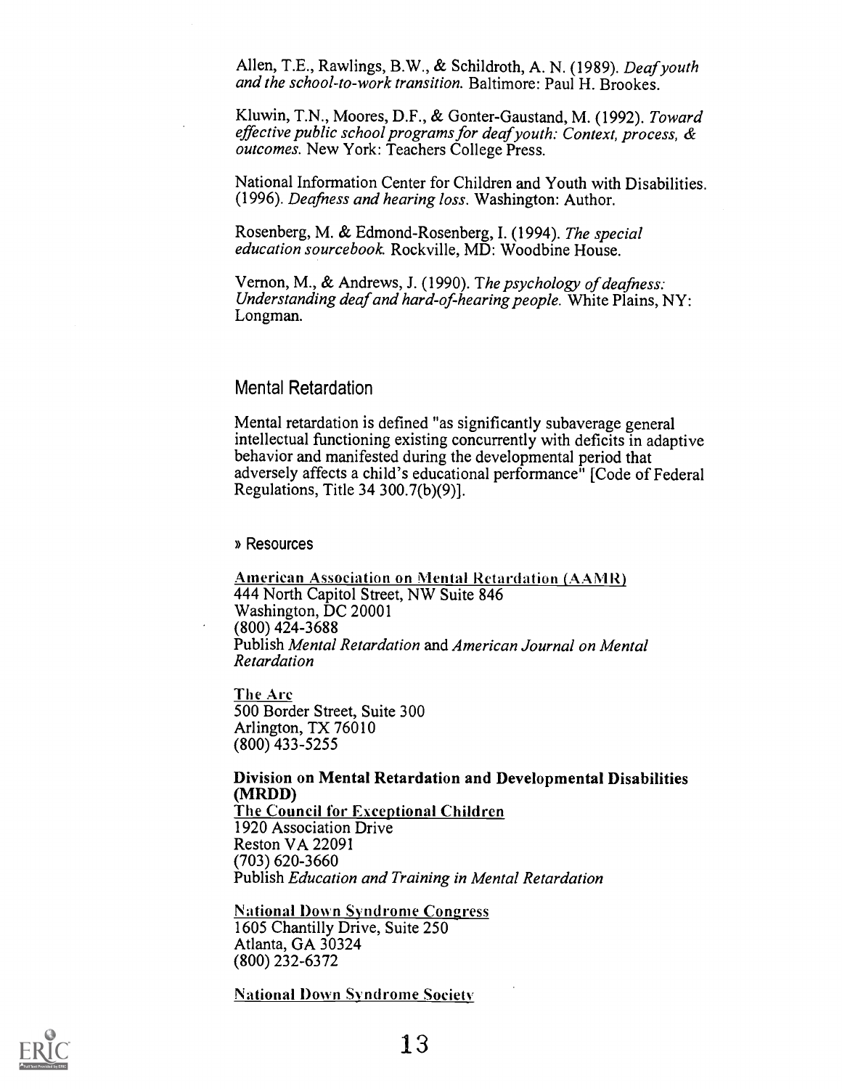Allen, T.E., Rawlings, B.W., & Schildroth, A. N. (1989). Deaf youth and the school-to-work transition. Baltimore: Paul H. Brookes.

Kluwin, T.N., Moores, D.F., & Gonter-Gaustand, M. (1992). Toward effective public school programs for deaf youth: Context, process, & outcomes. New York: Teachers College Press.

National Information Center for Children and Youth with Disabilities. (1996). Deafness and hearing loss. Washington: Author.

Rosenberg, M. & Edmond-Rosenberg, I. (1994). The special education sourcebook. Rockville, MD: Woodbine House.

Vernon, M., & Andrews, J. (1990). The psychology of deafness: Understanding deaf and hard-of-hearing people. White Plains,  $NY:$ Longman.

#### Mental Retardation

Mental retardation is defined "as significantly subaverage general intellectual functioning existing concurrently with deficits in adaptive behavior and manifested during the developmental period that adversely affects a child's educational performance" [Code of Federal Regulations, Title 34 300.7(b)(9)].

#### » Resources

American Association on Mental Retardation (AAMR) 444 North Capitol Street, NW Suite 846 Washington, DC 20001 (800) 424-3688 Publish Mental Retardation and American Journal on Mental Retardation

The Arc 500 Border Street, Suite 300 Arlington, TX 76010 (800) 433-5255

#### Division on Mental Retardation and Developmental Disabilities (MRDD)

The Council for Exceptional Children 1920 Association Drive Reston VA 22091 (703) 620-3660 Publish Education and Training in Mental Retardation

National Down Syndrome Congress 1605 Chantilly Drive, Suite 250 Atlanta, GA 30324 (800) 232-6372

National Down Syndrome Society

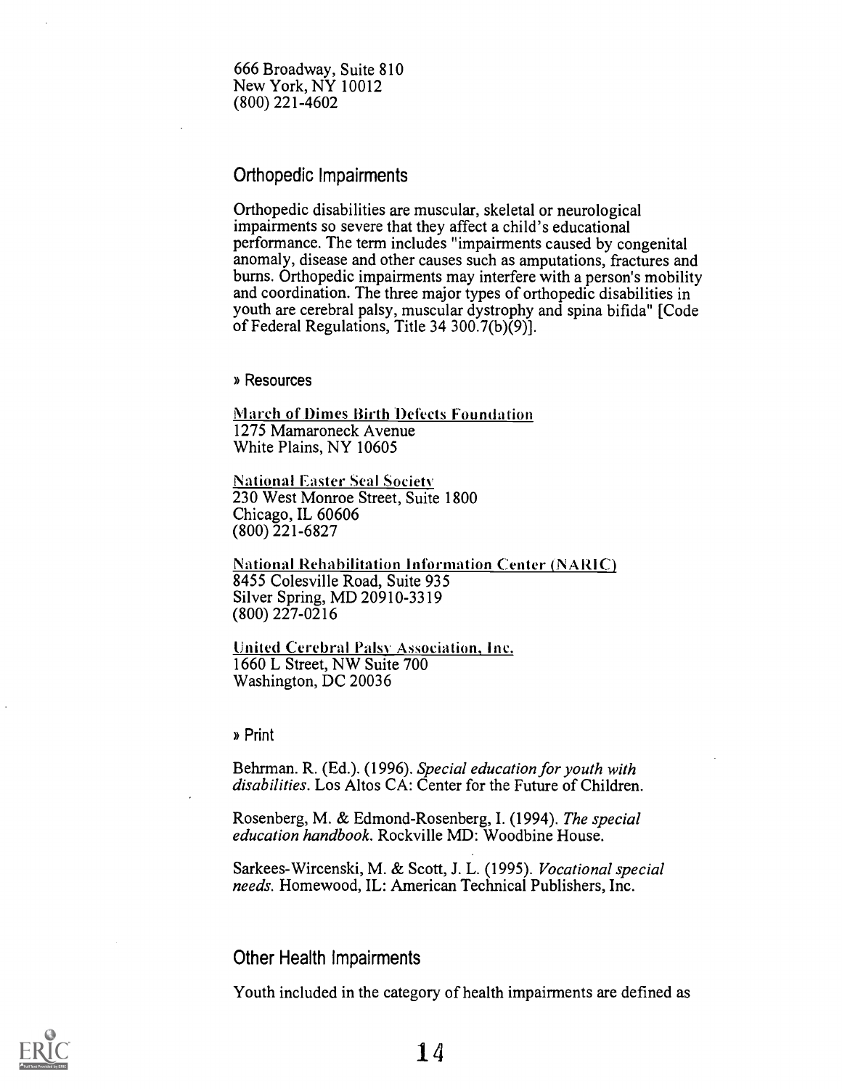666 Broadway, Suite 810 New York, NY 10012 (800) 221-4602

#### Orthopedic Impairments

Orthopedic disabilities are muscular, skeletal or neurological impairments so severe that they affect a child's educational performance. The term includes "impairments caused by congenital anomaly, disease and other causes such as amputations, fractures and burns. Orthopedic impairments may interfere with a person's mobility and coordination. The three major types of orthopedic disabilities in youth are cerebral palsy, muscular dystrophy and spina bifida" [Code of Federal Regulations, Title 34 300.7(b)(9)].

#### » Resources

**March of Dimes Birth Defects Foundation** 1275 Mamaroneck Avenue White Plains, NY 10605

National Easter Seal Society' 230 West Monroe Street, Suite 1800 Chicago, IL 60606 (800) 221-6827

**National Rehabilitation Information Center (NARIC)** 8455 Colesville Road, Suite 935 Silver Spring, MD 20910-3319 (800) 227-0216

United Cerebral Palsy. Association, Inc. 1660 L Street, NW Suite 700 Washington, DC 20036

» Print

Behrman. R. (Ed.). (1996). Special education for youth with disabilities. Los Altos CA: Center for the Future of Children.

Rosenberg, M. & Edmond-Rosenberg, I. (1994). The special education handbook. Rockville MD: Woodbine House.

Sarkees-Wircenski, M. & Scott, J. L. (1995). Vocational special needs. Homewood, IL: American Technical Publishers, Inc.

#### Other Health Impairments

Youth included in the category of health impairments are defined as

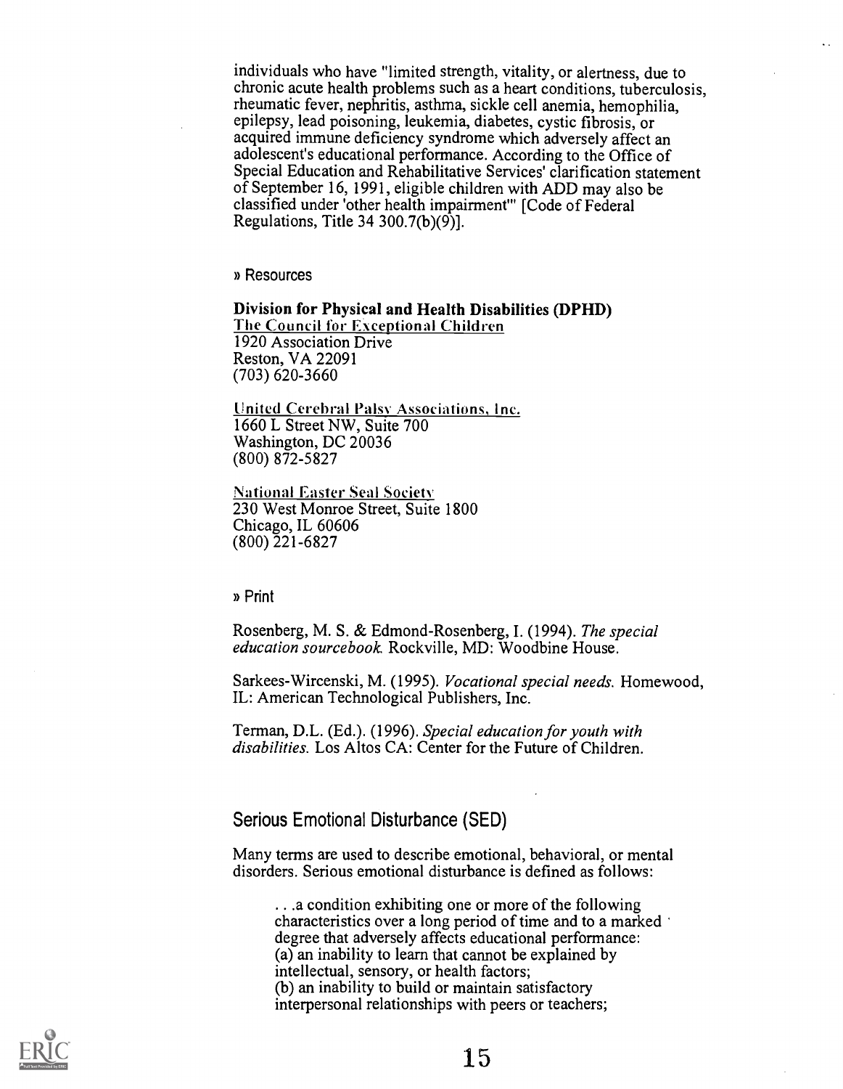individuals who have "limited strength, vitality, or alertness, due to chronic acute health problems such as a heart conditions, tuberculosis, rheumatic fever, nephritis, asthma, sickle cell anemia, hemophilia, epilepsy, lead poisoning, leukemia, diabetes, cystic fibrosis, or acquired immune deficiency syndrome which adversely affect an adolescent's educational performance. According to the Office of Special Education and Rehabilitative Services' clarification statement of September 16, 1991, eligible children with ADD may also be classified under 'other health impairment'" [Code of Federal Regulations, Title 34 300.7(b)(9)].

» Resources

Division for Physical and Health Disabilities (DPHD) The Council for Exceptional Children 1920 Association Drive Reston, VA 22091 (703) 620-3660

United Cerebral Palsy Associations, Inc. 1660 L Street NW, Suite 700 Washington, DC 20036 (800) 872-5827

National Easter Seal Society 230 West Monroe Street, Suite 1800 Chicago, IL 60606 (800) 221-6827

» Print

Rosenberg, M. S. & Edmond-Rosenberg, I. (1994). The special education sourcebook Rockville, MD: Woodbine House.

Sarkees-Wircenski, M. (1995). Vocational special needs. Homewood, IL: American Technological Publishers, Inc.

Terman, D.L. (Ed.). (1996). Special education for youth with disabilities. Los Altos CA: Center for the Future of Children.

Serious Emotional Disturbance (SED)

Many terms are used to describe emotional, behavioral, or mental disorders. Serious emotional disturbance is defined as follows:

. . .a condition exhibiting one or more of the following characteristics over a long period of time and to a marked degree that adversely affects educational performance: (a) an inability to learn that cannot be explained by intellectual, sensory, or health factors; (b) an inability to build or maintain satisfactory interpersonal relationships with peers or teachers;

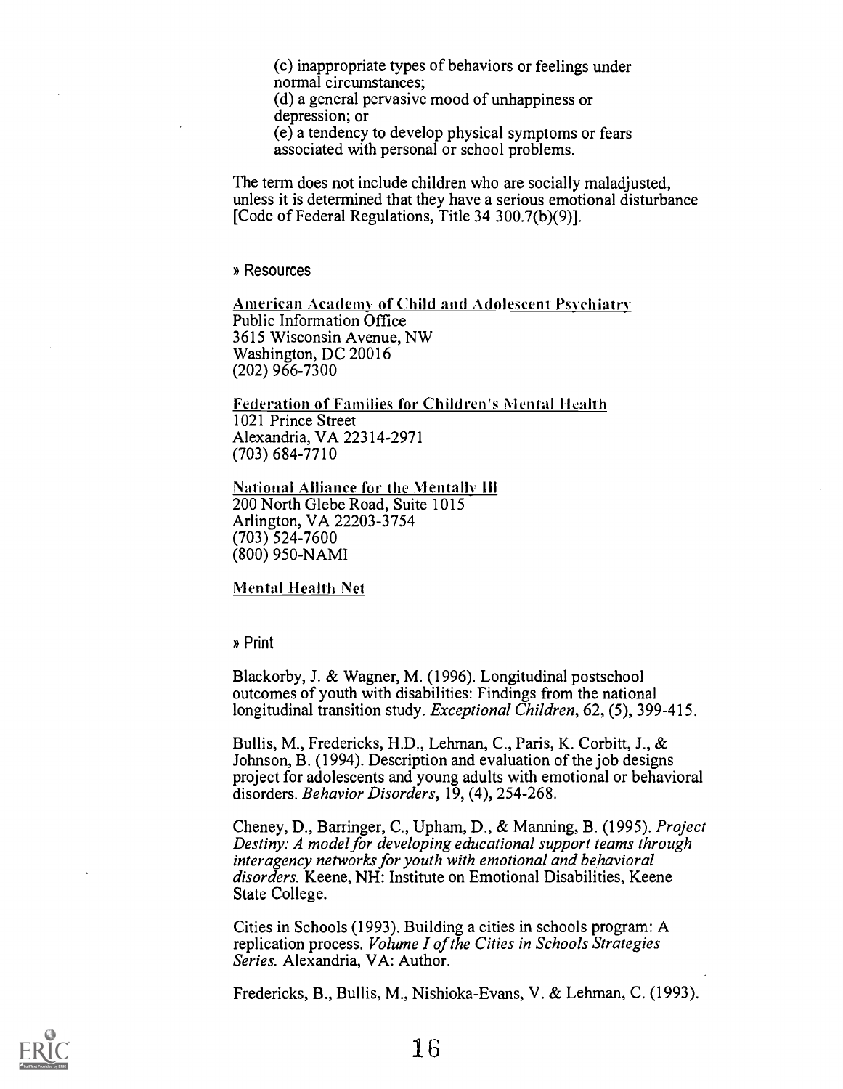(c) inappropriate types of behaviors or feelings under normal circumstances;

(d) a general pervasive mood of unhappiness or depression; or

(e) a tendency to develop physical symptoms or fears associated with personal or school problems.

The term does not include children who are socially maladjusted, unless it is determined that they have a serious emotional disturbance [Code of Federal Regulations, Title 34 300.7(b)(9)].

» Resources

American Academy of Child and Adolescent Psychiatry Public Information Office 3615 Wisconsin Avenue, NW Washington, DC 20016 (202) 966-7300

Federation of Families for Children's Mental Health 1021 Prince Street Alexandria, VA 22314-2971 (703) 684-7710

National Alliance for the Mentally III 200 North Glebe Road, Suite 1015 Arlington, VA 22203-3754 (703) 524-7600 (800) 950-NAMI

Mental Health Net

» Print

Blackorby, J. & Wagner, M. (1996). Longitudinal postschool outcomes of youth with disabilities: Findings from the national longitudinal transition study. *Exceptional Children*, 62, (5), 399-415.

Bullis, M., Fredericks, H.D., Lehman, C., Paris, K. Corbitt, J., & Johnson, B. (1994). Description and evaluation of the job designs project for adolescents and young adults with emotional or behavioral disorders. Behavior Disorders, 19, (4), 254-268.

Cheney, D., Barringer, C., Upham, D., & Manning, B. (1995). Project Destiny: A model for developing educational support teams through interagency networks for youth with emotional and behavioral disorders. Keene, NH: Institute on Emotional Disabilities, Keene State College.

Cities in Schools (1993). Building a cities in schools program: A replication process. Volume I of the Cities in Schools Strategies Series. Alexandria, VA: Author.

Fredericks, B., Bullis, M., Nishioka-Evans, V. & Lehman, C. (1993).

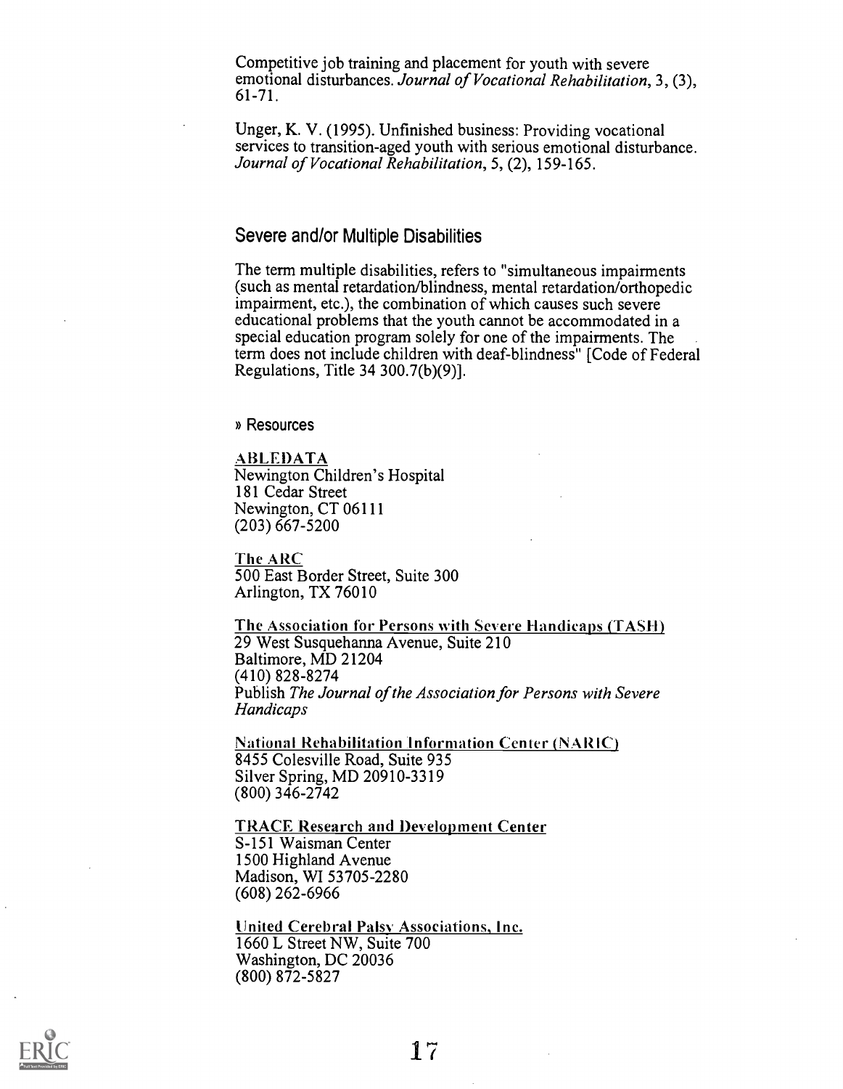Competitive job training and placement for youth with severe emotional disturbances. Journal of Vocational Rehabilitation, 3, (3), 61-71.

Unger, K. V. (1995). Unfinished business: Providing vocational services to transition-aged youth with serious emotional disturbance. Journal of Vocational Rehabilitation, 5, (2), 159-165.

#### Severe and/or Multiple Disabilities

The term multiple disabilities, refers to "simultaneous impairments (such as mental retardation/blindness, mental retardation/orthopedic impairment, etc.), the combination of which causes such severe educational problems that the youth cannot be accommodated in a special education program solely for one of the impairments. The term does not include children with deaf-blindness" [Code of Federal Regulations, Title 34 300.7(b)(9)].

» Resources

ABLEDATA Newington Children's Hospital 181 Cedar Street Newington, CT 06111 (203) 667-5200

The ARC 500 East Border Street, Suite 300 Arlington, TX 76010

The Association for Persons with Severe Handicaps (TASH) 29 West Susquehanna Avenue, Suite 210 Baltimore, MD 21204 (410) 828-8274 Publish The Journal of the Association for Persons with Severe Handicaps

National Rehabilitation 'Information Center (NARIC) 8455 Colesville Road, Suite 935 Silver Spring, MD 20910-3319 (800) 346-2742

TRACE Research and Development Center S-151 Waisman Center 1500 Highland Avenue Madison, WI 53705-2280 (608) 262-6966

United Cerebral Palsy Associations, Inc. 1660 L Street NW, Suite 700 Washington, DC 20036 (800) 872-5827

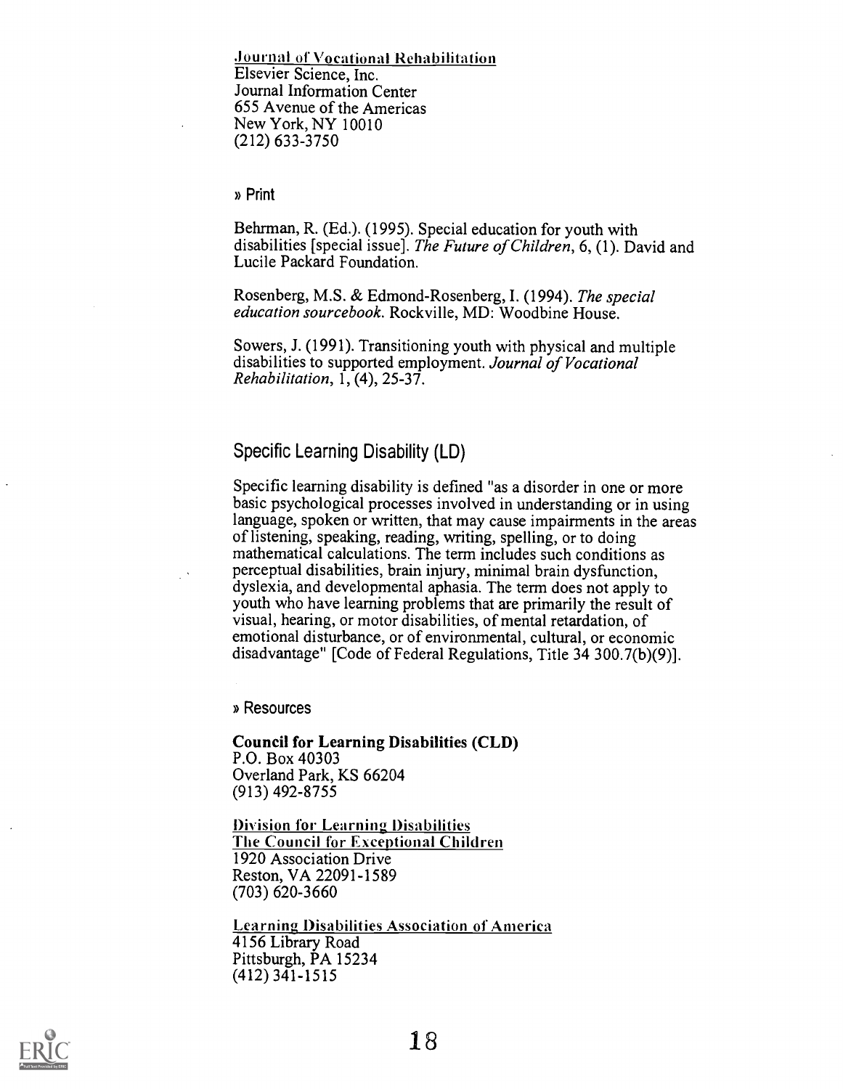.lournal of Vocational Rehabilitation Elsevier Science, Inc. Journal Information Center 655 Avenue of the Americas New York, NY 10010 (212) 633-3750

» Print

Behrman, R. (Ed.). (1995). Special education for youth with disabilities [special issue]. The Future of Children, 6, (1). David and Lucile Packard Foundation.

Rosenberg, M.S. & Edmond-Rosenberg, I. (1994). The special education sourcebook. Rockville, MD: Woodbine House.

Sowers, J. (1991). Transitioning youth with physical and multiple disabilities to supported employment. Journal of Vocational Rehabilitation,  $1, (4), 25-37$ .

#### Specific Learning Disability (LD)

Specific learning disability is defined "as a disorder in one or more basic psychological processes involved in understanding or in using language, spoken or written, that may cause impairments in the areas of listening, speaking, reading, writing, spelling, or to doing mathematical calculations. The term includes such conditions as perceptual disabilities, brain injury, minimal brain dysfunction, dyslexia, and developmental aphasia. The term does not apply to youth who have learning problems that are primarily the result of visual, hearing, or motor disabilities, of mental retardation, of emotional disturbance, or of environmental, cultural, or economic disadvantage" [Code of Federal Regulations, Title 34 300.7(b)(9)].

» Resources

Council for Learning Disabilities (CLD) P.O. Box 40303 Overland Park, KS 66204 (913) 492-8755

Division for Learning Disabilities The Council for Exceptional Children 1920 Association Drive Reston, VA 22091-1589 (703) 620-3660

Learning Disabilities Association of America 4156 Library Road Pittsburgh, PA 15234 (412) 341-1515

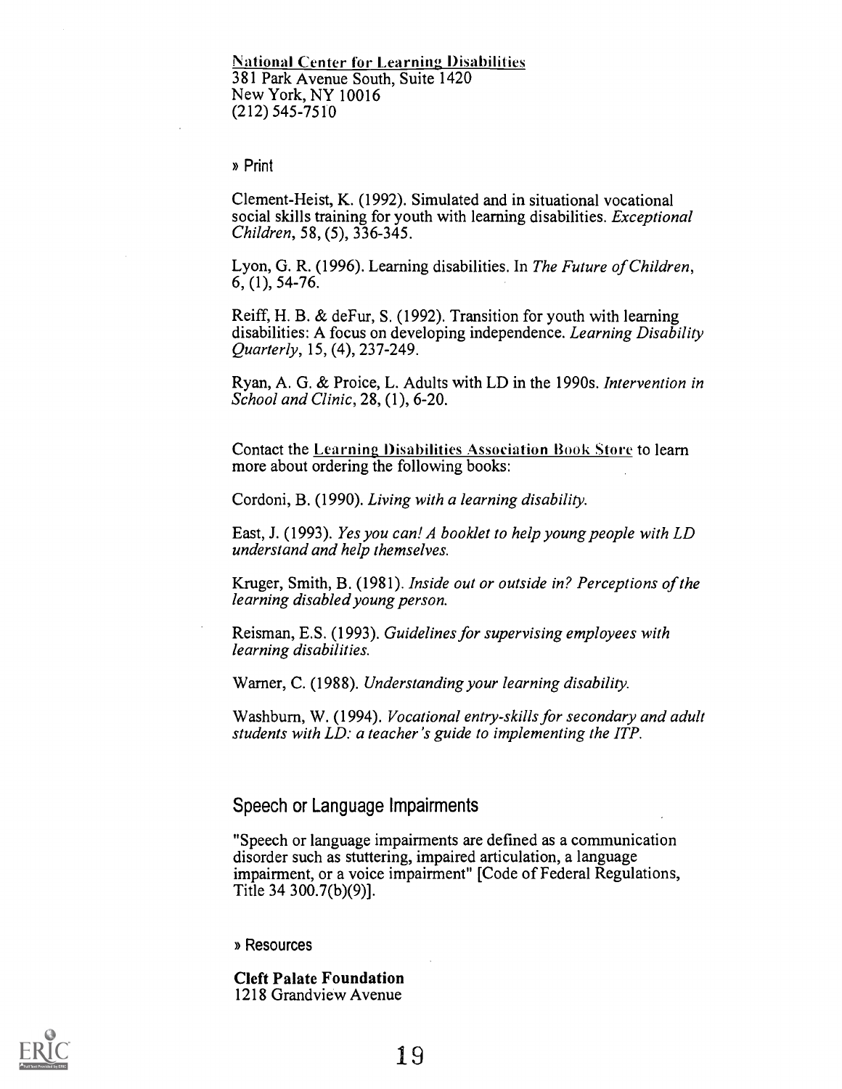**National Center for Learning Disabilities** 381 Park Avenue South, Suite 1420 New York, NY 10016 (212) 545-7510

» Print

Clement-Heist, K. (1992). Simulated and in situational vocational social skills training for youth with learning disabilities. Exceptional Children, 58, (5), 336-345.

Lyon, G. R. (1996). Learning disabilities. In The Future of Children, 6, (1), 54-76.

Reiff, H. B. & deFur, S. (1992). Transition for youth with learning disabilities: A focus on developing independence. Learning Disability Quarterly, 15, (4), 237-249.

Ryan, A. G. & Proice, L. Adults with LD in the 1990s. Intervention in School and Clinic, 28, (1), 6-20.

Contact the Learning Disabilities Association Rook Store to learn more about ordering the following books:

Cordoni, B. (1990). Living with a learning disability.

East, J. (1993). Yes you can! A booklet to help young people with LD understand and help themselves.

Kruger, Smith, B. (1981). Inside out or outside in? Perceptions of the learning disabled young person.

Reisman, E.S. (1993). Guidelines for supervising employees with learning disabilities.

Warner, C. (1988). Understanding your learning disability.

Washburn, W. (1994). Vocational entry-skills for secondary and adult students with LD: a teacher's guide to implementing the ITP.

#### Speech or Language Impairments

"Speech or language impairments are defined as a communication disorder such as stuttering, impaired articulation, a language impairment, or a voice impairment" [Code of Federal Regulations, Title 34 300.7(b)(9)].

» Resources

Cleft Palate Foundation 1218 Grandview Avenue

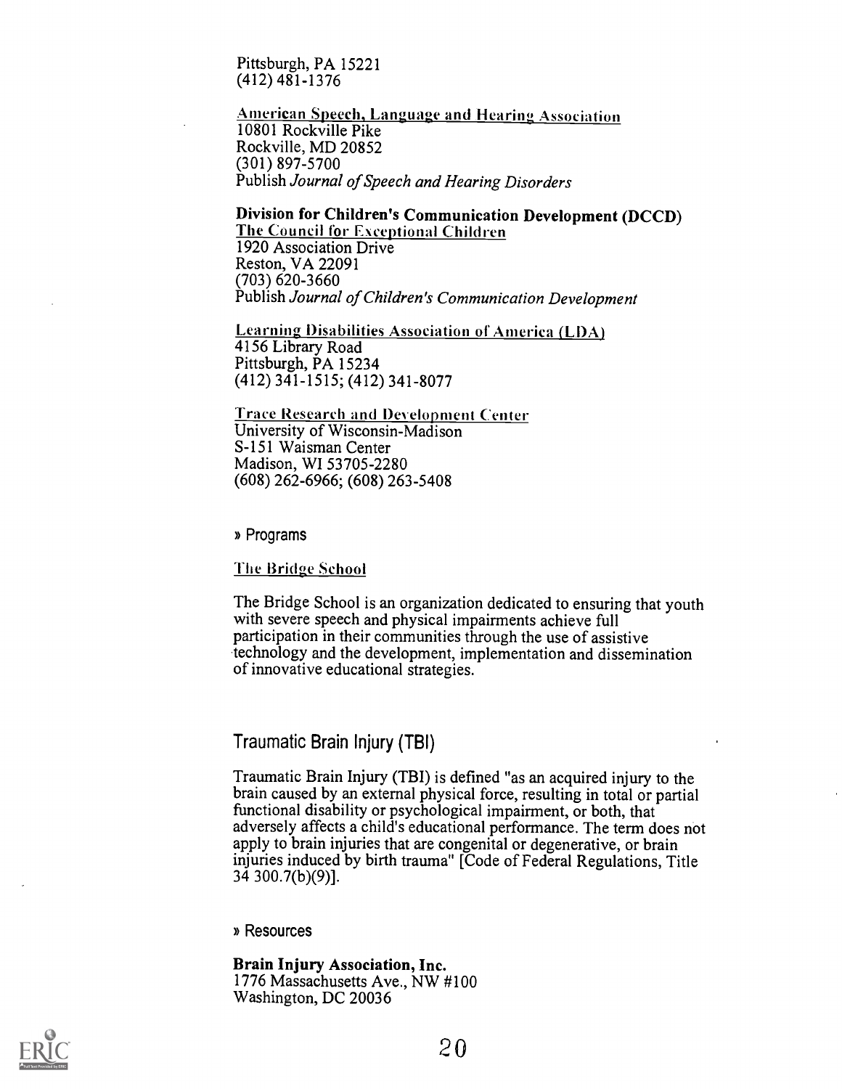Pittsburgh, PA 15221 (412) 481-1376

**American Speech, Language and Hearing Association** 10801 Rockville Pike Rockville, MD 20852 (301) 897-5700 Publish Journal of Speech and Hearing Disorders

## Division for Children's Communication Development (DCCD) The Council for Exceptional Children

1920 Association Drive Reston, VA 22091 (703) 620-3660 Publish Journal of Children's Communication Development

Learning Disabilities Association of America (LDA) 4156 Library Road Pittsburgh, PA 15234 (412) 341-1515; (412) 341-8077

Trace Research and Development Center University of Wisconsin-Madison S-151 Waisman Center Madison, WI 53705-2280 (608) 262-6966; (608) 263-5408

» Programs

The Bridge School

The Bridge School is an organization dedicated to ensuring that youth with severe speech and physical impairments achieve full participation in their communities through the use of assistive technology and the development, implementation and dissemination of innovative educational strategies.

### Traumatic Brain Injury (TBI)

Traumatic Brain Injury (TBI) is defined "as an acquired injury to the brain caused by an external physical force, resulting in total or partial functional disability or psychological impairment, or both, that adversely affects a child's educational performance. The term does not apply to brain injuries that are congenital or degenerative, or brain injuries induced by birth trauma" [Code of Federal Regulations, Title 34 300.7(b)(9)].

» Resources

Brain Injury Association, Inc. 1776 Massachusetts Ave., NW #100 Washington, DC 20036

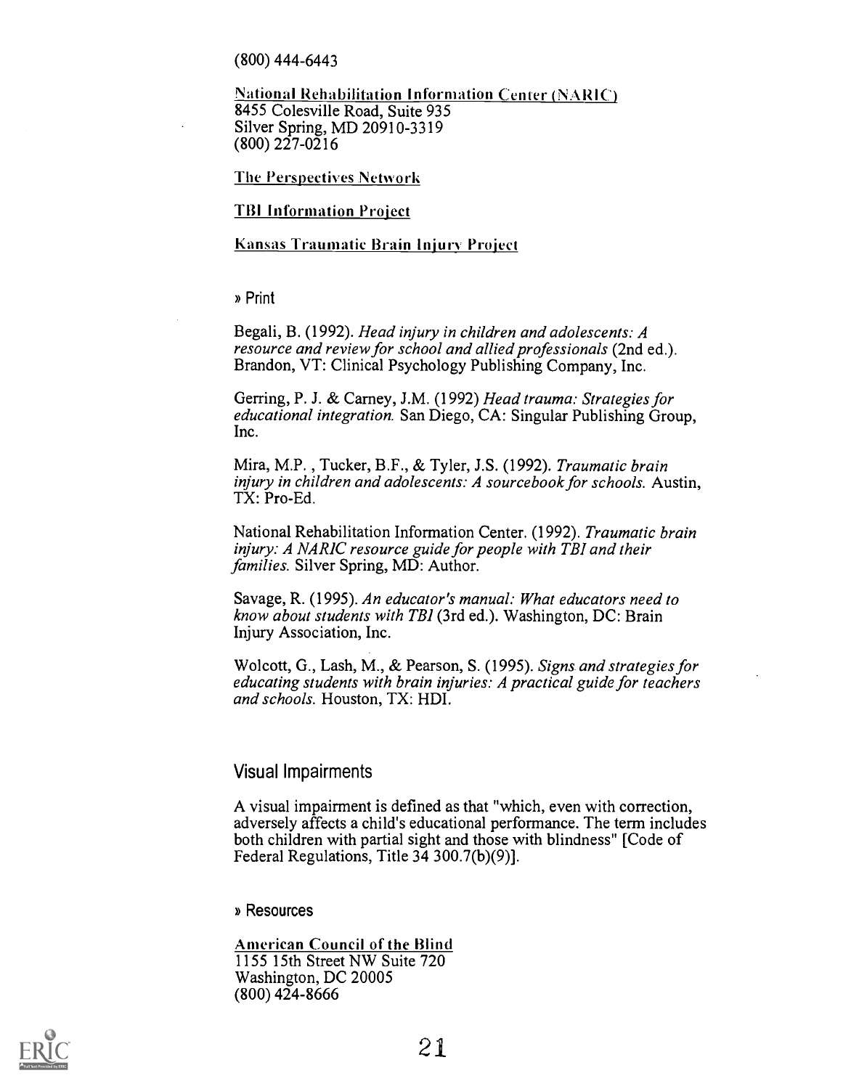(800) 444-6443

National Rehabilitation Information Center (NARIC) 8455 Colesville Road, Suite 935 Silver Spring, MD 20910-3319 (800) 227-0216

The Perspectives Network

#### **TBI Information Project**

#### Kansas Traumatic Brain Injury Project

» Print

Begali, B. (1992). Head injury in children and adolescents: A resource and review for school and allied professionals (2nd ed.). Brandon, VT: Clinical Psychology Publishing Company, Inc.

Gerring, P. J. & Carney, J.M. (1992) Head trauma: Strategies for educational integration. San Diego, CA: Singular Publishing Group, Inc.

Mira, M.P. , Tucker, B.F., & Tyler, J.S. (1992). Traumatic brain injury in children and adolescents: A sourcebook for schools. Austin, TX: Pro-Ed.

National Rehabilitation Information Center. (1992). Traumatic brain injury: A NARIC resource guide for people with TBI and their families. Silver Spring, MD: Author.

Savage, R. (1995). An educator's manual: What educators need to know about students with TBI (3rd ed.). Washington, DC: Brain Injury Association, Inc.

Wolcott, G., Lash, M., & Pearson, S. (1995). Signs and strategies for educating students with brain injuries: A practical guide for teachers and schools. Houston, TX: HDI.

#### Visual Impairments

A visual impairment is defined as that "which, even with correction, adversely affects a child's educational performance. The term includes both children with partial sight and those with blindness" [Code of Federal Regulations, Title 34 300.7(b)(9)].

» Resources

American Council of the Blind 1155 15th Street NW Suite 720 Washington, DC 20005 (800) 424-8666

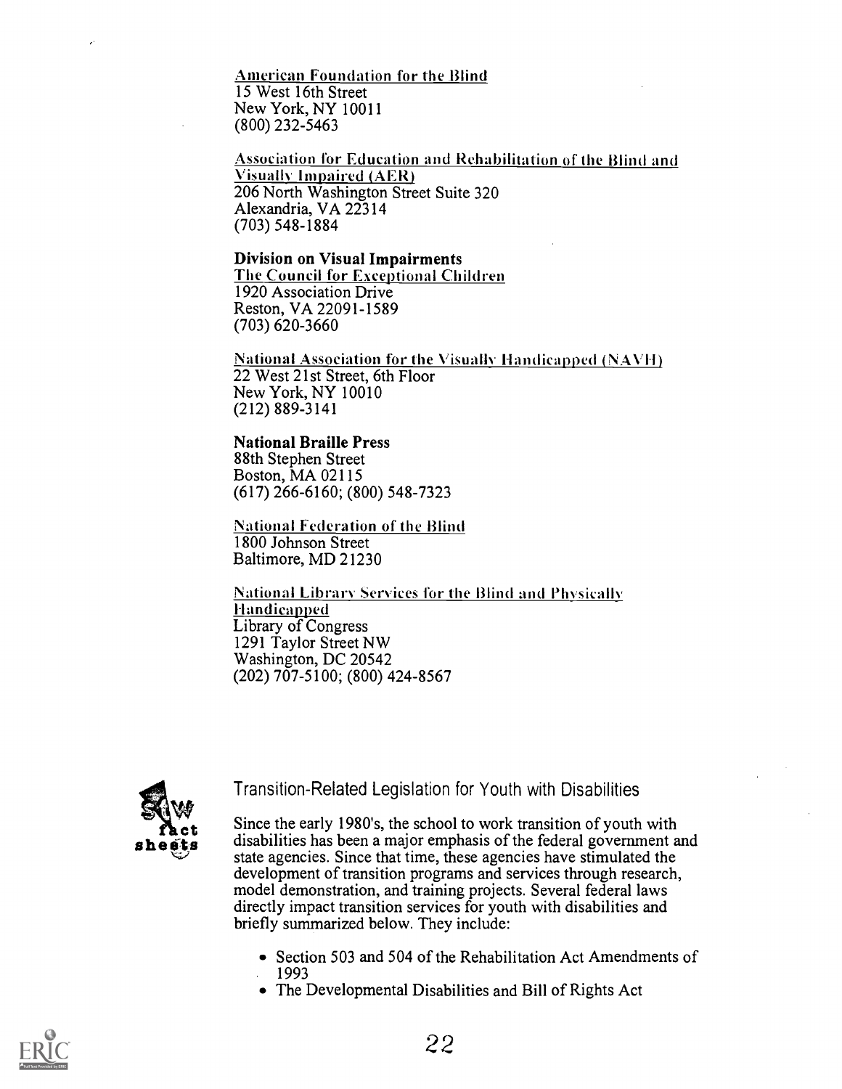American Foundation for the Blind 15 West 16th Street New York, NY 10011 (800) 232-5463

Association for Education and Rehabilitation of the Blind and Visually Impaired (AER) 206 North Washington Street Suite 320 Alexandria, VA 22314 (703) 548-1884

#### Division on Visual Impairments The Council for Exceptional Children 1920 Association Drive

Reston, VA 22091-1589 (703) 620-3660

National Association for the Visually Handicapped  $(NAVH)$ 22 West 21st Street, 6th Floor New York, NY 10010 (212) 889-3141

#### National Braille Press

88th Stephen Street Boston, MA 02115 (617) 266-6160; (800) 548-7323

National Federation of the Blind 1800 Johnson Street Baltimore, MD 21230

National Library Services for the Blind and Physically Handicapped Library of Congress 1291 Taylor Street NW Washington, DC 20542 (202) 707-5100; (800) 424-8567



Transition-Related Legislation for Youth with Disabilities

Since the early 1980's, the school to work transition of youth with<br>disobilities has been a major emphasis of the federal government and  $\mathbf{s} \cdot \mathbf{h} \cdot \mathbf{e} \cdot \mathbf{g} \cdot \mathbf{h}$  disabilities has been a major emphasis of the federal government and state agencies. Since that time, these agencies have stimulated the development of transition programs and services through research, model demonstration, and training projects. Several federal laws directly impact transition services for youth with disabilities and briefly summarized below. They include:

- Section 503 and 504 of the Rehabilitation Act Amendments of 1993
- The Developmental Disabilities and Bill of Rights Act

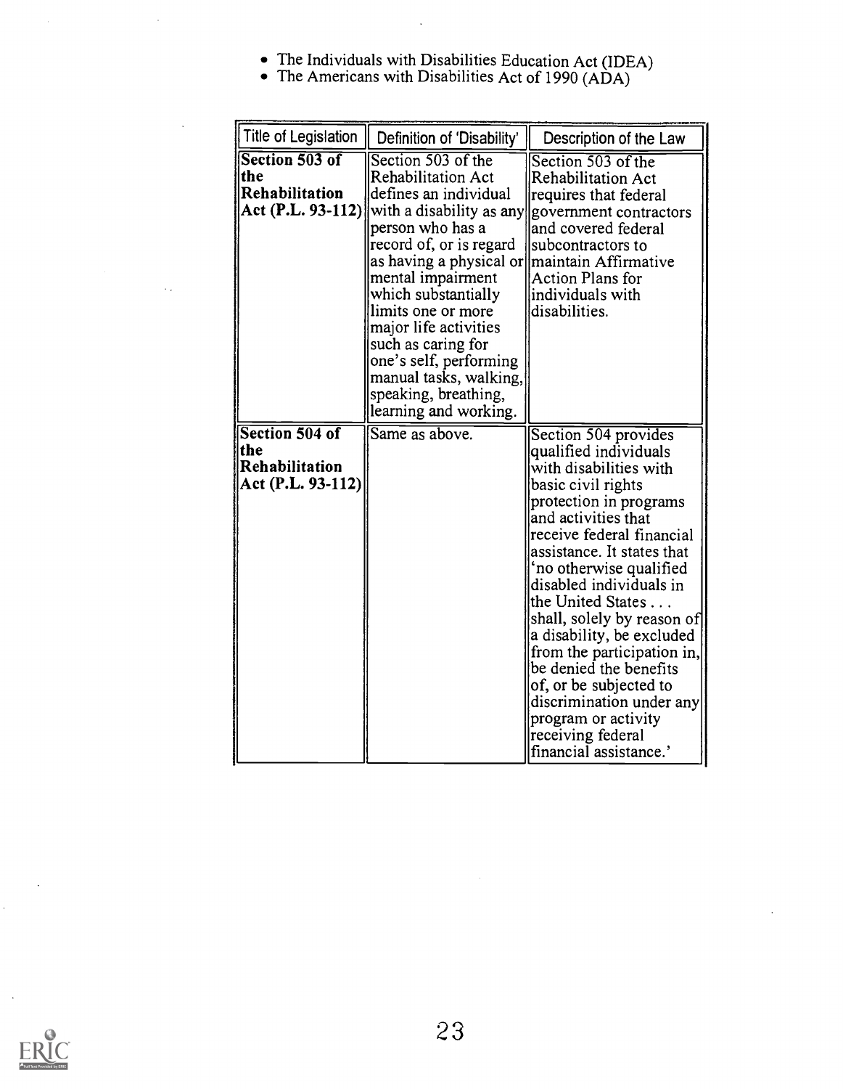- The Individuals with Disabilities Education Act (IDEA)
- The Americans with Disabilities Act of 1990 (ADA)

 $\ddot{\phantom{a}}$ 

÷.

 $\ddotsc$ 

| Title of Legislation                                         | Definition of 'Disability'                                                                                                                                                                                                                                                                                                                                                             | Description of the Law                                                                                                                                                                                                                                                                                                                                                                                                                                                                                                              |
|--------------------------------------------------------------|----------------------------------------------------------------------------------------------------------------------------------------------------------------------------------------------------------------------------------------------------------------------------------------------------------------------------------------------------------------------------------------|-------------------------------------------------------------------------------------------------------------------------------------------------------------------------------------------------------------------------------------------------------------------------------------------------------------------------------------------------------------------------------------------------------------------------------------------------------------------------------------------------------------------------------------|
| Section 503 of<br>the<br>Rehabilitation<br>Act (P.L. 93-112) | Section 503 of the<br>Rehabilitation Act<br>defines an individual<br>person who has a<br>record of, or is regard<br>as having a physical or maintain Affirmative<br>mental impairment<br>which substantially<br>limits one or more<br>major life activities<br>such as caring for<br>one's self, performing<br>manual tasks, walking,<br>speaking, breathing,<br>learning and working. | Section 503 of the<br>Rehabilitation Act<br>requires that federal<br>with a disability as any government contractors<br>and covered federal<br>subcontractors to<br>Action Plans for<br>lindividuals with<br>disabilities.                                                                                                                                                                                                                                                                                                          |
| Section 504 of<br>the<br>Rehabilitation<br>Act (P.L. 93-112) | Same as above.                                                                                                                                                                                                                                                                                                                                                                         | Section 504 provides<br>qualified individuals<br>with disabilities with<br>basic civil rights<br>protection in programs<br>and activities that<br>receive federal financial<br>assistance. It states that<br>'no otherwise qualified<br>disabled individuals in<br>the United States<br>shall, solely by reason of<br>a disability, be excluded<br>from the participation in,<br>be denied the benefits<br>of, or be subjected to<br>discrimination under any<br>program or activity<br>receiving federal<br>financial assistance.' |

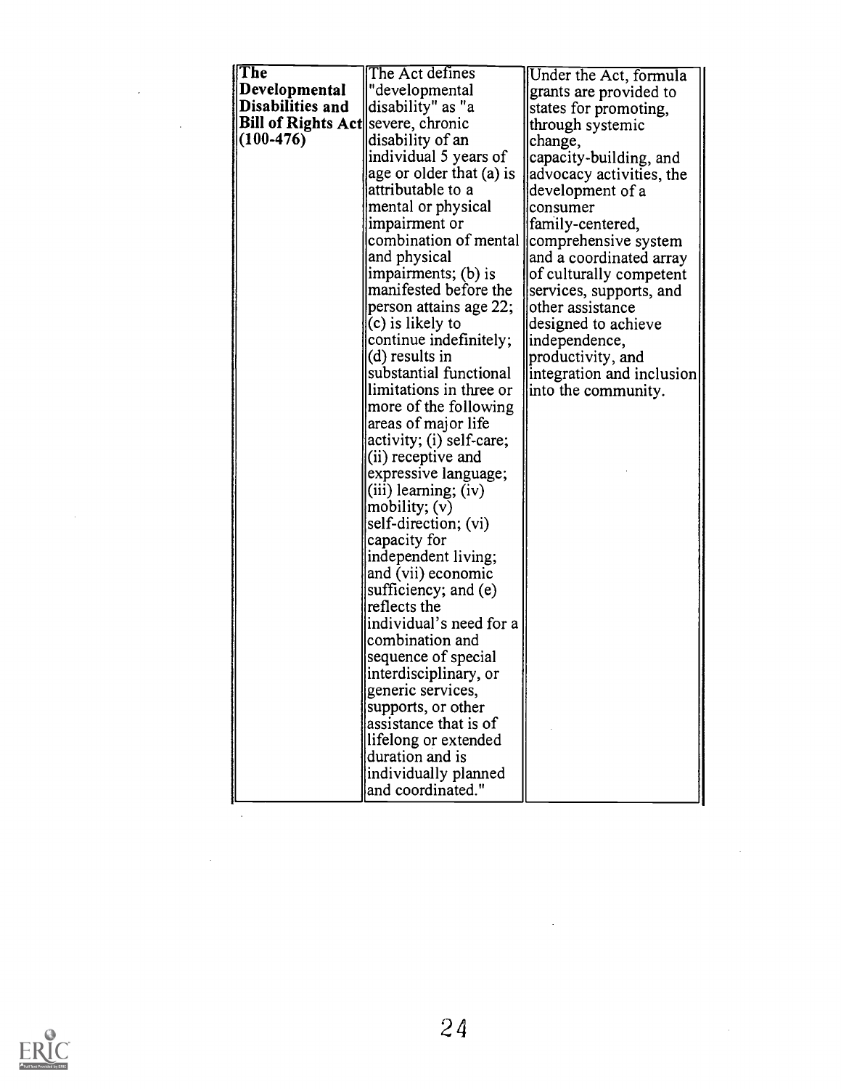| $ \text{The }$                     | The Act defines                     | Under the Act, formula    |  |
|------------------------------------|-------------------------------------|---------------------------|--|
| Developmental                      | "developmental                      | grants are provided to    |  |
| Disabilities and                   | disability" as "a                   | states for promoting,     |  |
| Bill of Rights Act severe, chronic |                                     | through systemic          |  |
| $(100 - 476)$                      | disability of an                    | change,                   |  |
|                                    | individual 5 years of               | capacity-building, and    |  |
|                                    | age or older that (a) is            | advocacy activities, the  |  |
|                                    | attributable to a                   | development of a          |  |
|                                    | mental or physical                  | consumer                  |  |
|                                    | impairment or                       | family-centered,          |  |
|                                    | combination of mental               | comprehensive system      |  |
|                                    | and physical                        | and a coordinated array   |  |
|                                    | impairments; (b) is                 | of culturally competent   |  |
|                                    | manifested before the               | services, supports, and   |  |
|                                    | person attains age 22;              | other assistance          |  |
|                                    | (c) is likely to                    | designed to achieve       |  |
|                                    | continue indefinitely;              | independence,             |  |
|                                    | $(d)$ results in                    | productivity, and         |  |
|                                    | substantial functional              | integration and inclusion |  |
|                                    | limitations in three or             | into the community.       |  |
|                                    | more of the following               |                           |  |
|                                    | areas of major life                 |                           |  |
|                                    | activity; (i) self-care;            |                           |  |
|                                    | (ii) receptive and                  |                           |  |
|                                    | expressive language;                |                           |  |
|                                    | (iii) learning; (iv)                |                           |  |
|                                    | mobility; (v)                       |                           |  |
|                                    | self-direction; (vi)                |                           |  |
|                                    | capacity for<br>independent living; |                           |  |
|                                    | and (vii) economic                  |                           |  |
|                                    | sufficiency; and (e)                |                           |  |
|                                    | reflects the                        |                           |  |
|                                    | individual's need for a             |                           |  |
|                                    | combination and                     |                           |  |
|                                    | sequence of special                 |                           |  |
|                                    | interdisciplinary, or               |                           |  |
|                                    | generic services,                   |                           |  |
|                                    | supports, or other                  |                           |  |
|                                    | assistance that is of               |                           |  |
|                                    | lifelong or extended                |                           |  |
|                                    | duration and is                     |                           |  |
|                                    | individually planned                |                           |  |
|                                    | and coordinated."                   |                           |  |
|                                    |                                     |                           |  |



 $\label{eq:2.1} \frac{1}{\sqrt{2}}\int_{\mathbb{R}^3}\frac{1}{\sqrt{2}}\left(\frac{1}{\sqrt{2}}\right)^2\frac{1}{\sqrt{2}}\left(\frac{1}{\sqrt{2}}\right)^2\frac{1}{\sqrt{2}}\left(\frac{1}{\sqrt{2}}\right)^2\frac{1}{\sqrt{2}}\left(\frac{1}{\sqrt{2}}\right)^2.$ 

 $\mathcal{L}^{\text{max}}_{\text{max}}$  , where  $\mathcal{L}^{\text{max}}_{\text{max}}$ 

 $\sim 10^{11}$  m  $^{-1}$ 

 $\mathcal{L}^{\text{max}}_{\text{max}}$ 

 $\mathcal{L}^{\text{max}}_{\text{max}}$  and  $\mathcal{L}^{\text{max}}_{\text{max}}$ 

 $\sim$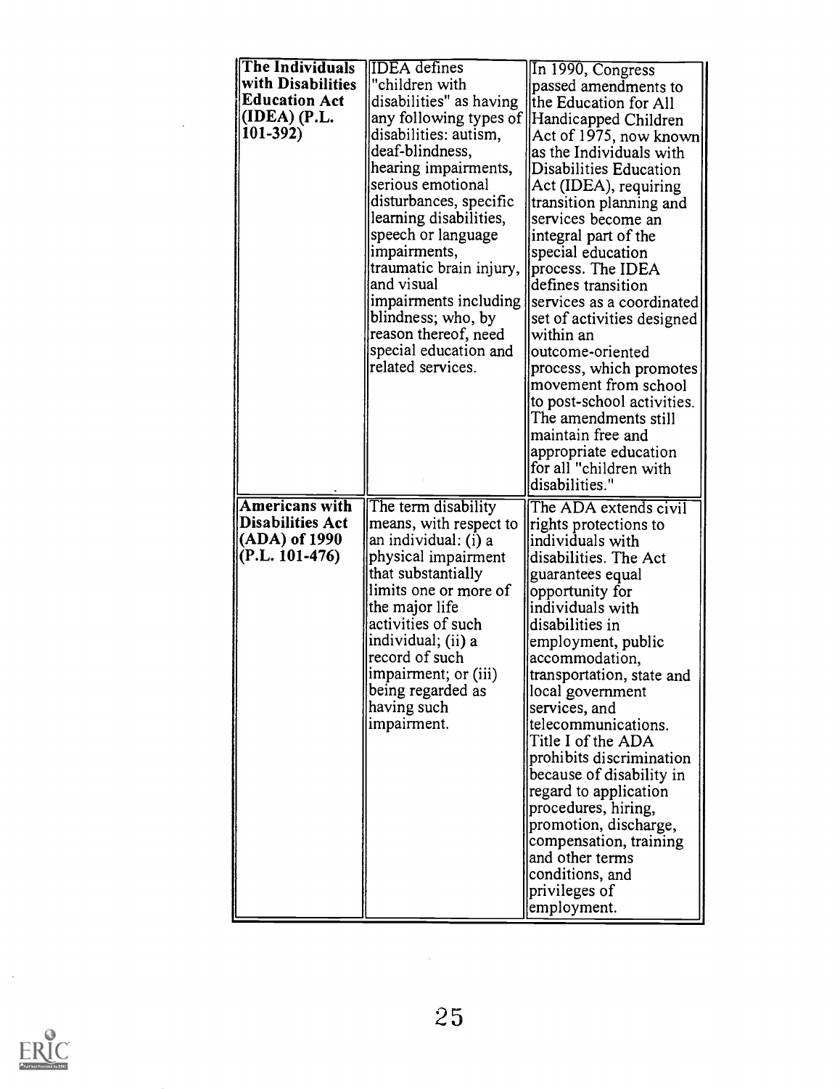| In 1990, Congress<br>with Disabilities<br>"children with<br>passed amendments to<br><b>Education Act</b><br>disabilities" as having<br>the Education for All<br>(IDEA) (P.L.<br>any following types of<br> Handicapped Children<br>$101-392$<br>disabilities: autism,<br>Act of 1975, now known<br>deaf-blindness,<br>as the Individuals with<br>hearing impairments,<br>Disabilities Education<br>serious emotional<br>Act (IDEA), requiring<br>disturbances, specific<br>transition planning and<br>learning disabilities,<br>services become an<br>speech or language<br>integral part of the<br>impairments,<br>special education<br>traumatic brain injury,<br>process. The IDEA<br>and visual<br>defines transition<br>impairments including<br>services as a coordinated<br>blindness; who, by<br>set of activities designed<br>reason thereof, need<br>within an<br>special education and<br>outcome-oriented<br>related services.<br>process, which promotes<br>movement from school<br>to post-school activities.<br>The amendments still<br>maintain free and<br>appropriate education<br>for all "children with<br>disabilities."<br><b>Americans with</b><br>The term disability<br>The ADA extends civil<br><b>Disabilities Act</b><br>means, with respect to<br>rights protections to<br>(ADA) of 1990<br>an individual: (i) a<br>individuals with<br>$(P.L. 101-476)$<br>physical impairment<br>disabilities. The Act<br>that substantially<br>guarantees equal<br>limits one or more of<br>opportunity for<br>the major life<br>individuals with<br>activities of such<br>disabilities in<br>individual; (ii) a<br>employment, public<br>record of such<br>accommodation,<br>impairment; or (iii)<br>transportation, state and<br>being regarded as<br>local government<br>having such<br>services, and<br>impairment.<br>telecommunications.<br>Title I of the ADA<br>prohibits discrimination<br>because of disability in |
|----------------------------------------------------------------------------------------------------------------------------------------------------------------------------------------------------------------------------------------------------------------------------------------------------------------------------------------------------------------------------------------------------------------------------------------------------------------------------------------------------------------------------------------------------------------------------------------------------------------------------------------------------------------------------------------------------------------------------------------------------------------------------------------------------------------------------------------------------------------------------------------------------------------------------------------------------------------------------------------------------------------------------------------------------------------------------------------------------------------------------------------------------------------------------------------------------------------------------------------------------------------------------------------------------------------------------------------------------------------------------------------------------------------------------------------------------------------------------------------------------------------------------------------------------------------------------------------------------------------------------------------------------------------------------------------------------------------------------------------------------------------------------------------------------------------------------------------------------------------------------------------------------------------------------------------------|
|                                                                                                                                                                                                                                                                                                                                                                                                                                                                                                                                                                                                                                                                                                                                                                                                                                                                                                                                                                                                                                                                                                                                                                                                                                                                                                                                                                                                                                                                                                                                                                                                                                                                                                                                                                                                                                                                                                                                              |
|                                                                                                                                                                                                                                                                                                                                                                                                                                                                                                                                                                                                                                                                                                                                                                                                                                                                                                                                                                                                                                                                                                                                                                                                                                                                                                                                                                                                                                                                                                                                                                                                                                                                                                                                                                                                                                                                                                                                              |
|                                                                                                                                                                                                                                                                                                                                                                                                                                                                                                                                                                                                                                                                                                                                                                                                                                                                                                                                                                                                                                                                                                                                                                                                                                                                                                                                                                                                                                                                                                                                                                                                                                                                                                                                                                                                                                                                                                                                              |
|                                                                                                                                                                                                                                                                                                                                                                                                                                                                                                                                                                                                                                                                                                                                                                                                                                                                                                                                                                                                                                                                                                                                                                                                                                                                                                                                                                                                                                                                                                                                                                                                                                                                                                                                                                                                                                                                                                                                              |
|                                                                                                                                                                                                                                                                                                                                                                                                                                                                                                                                                                                                                                                                                                                                                                                                                                                                                                                                                                                                                                                                                                                                                                                                                                                                                                                                                                                                                                                                                                                                                                                                                                                                                                                                                                                                                                                                                                                                              |
|                                                                                                                                                                                                                                                                                                                                                                                                                                                                                                                                                                                                                                                                                                                                                                                                                                                                                                                                                                                                                                                                                                                                                                                                                                                                                                                                                                                                                                                                                                                                                                                                                                                                                                                                                                                                                                                                                                                                              |
|                                                                                                                                                                                                                                                                                                                                                                                                                                                                                                                                                                                                                                                                                                                                                                                                                                                                                                                                                                                                                                                                                                                                                                                                                                                                                                                                                                                                                                                                                                                                                                                                                                                                                                                                                                                                                                                                                                                                              |
|                                                                                                                                                                                                                                                                                                                                                                                                                                                                                                                                                                                                                                                                                                                                                                                                                                                                                                                                                                                                                                                                                                                                                                                                                                                                                                                                                                                                                                                                                                                                                                                                                                                                                                                                                                                                                                                                                                                                              |
|                                                                                                                                                                                                                                                                                                                                                                                                                                                                                                                                                                                                                                                                                                                                                                                                                                                                                                                                                                                                                                                                                                                                                                                                                                                                                                                                                                                                                                                                                                                                                                                                                                                                                                                                                                                                                                                                                                                                              |
|                                                                                                                                                                                                                                                                                                                                                                                                                                                                                                                                                                                                                                                                                                                                                                                                                                                                                                                                                                                                                                                                                                                                                                                                                                                                                                                                                                                                                                                                                                                                                                                                                                                                                                                                                                                                                                                                                                                                              |
|                                                                                                                                                                                                                                                                                                                                                                                                                                                                                                                                                                                                                                                                                                                                                                                                                                                                                                                                                                                                                                                                                                                                                                                                                                                                                                                                                                                                                                                                                                                                                                                                                                                                                                                                                                                                                                                                                                                                              |
|                                                                                                                                                                                                                                                                                                                                                                                                                                                                                                                                                                                                                                                                                                                                                                                                                                                                                                                                                                                                                                                                                                                                                                                                                                                                                                                                                                                                                                                                                                                                                                                                                                                                                                                                                                                                                                                                                                                                              |
|                                                                                                                                                                                                                                                                                                                                                                                                                                                                                                                                                                                                                                                                                                                                                                                                                                                                                                                                                                                                                                                                                                                                                                                                                                                                                                                                                                                                                                                                                                                                                                                                                                                                                                                                                                                                                                                                                                                                              |
|                                                                                                                                                                                                                                                                                                                                                                                                                                                                                                                                                                                                                                                                                                                                                                                                                                                                                                                                                                                                                                                                                                                                                                                                                                                                                                                                                                                                                                                                                                                                                                                                                                                                                                                                                                                                                                                                                                                                              |
|                                                                                                                                                                                                                                                                                                                                                                                                                                                                                                                                                                                                                                                                                                                                                                                                                                                                                                                                                                                                                                                                                                                                                                                                                                                                                                                                                                                                                                                                                                                                                                                                                                                                                                                                                                                                                                                                                                                                              |
|                                                                                                                                                                                                                                                                                                                                                                                                                                                                                                                                                                                                                                                                                                                                                                                                                                                                                                                                                                                                                                                                                                                                                                                                                                                                                                                                                                                                                                                                                                                                                                                                                                                                                                                                                                                                                                                                                                                                              |
|                                                                                                                                                                                                                                                                                                                                                                                                                                                                                                                                                                                                                                                                                                                                                                                                                                                                                                                                                                                                                                                                                                                                                                                                                                                                                                                                                                                                                                                                                                                                                                                                                                                                                                                                                                                                                                                                                                                                              |
|                                                                                                                                                                                                                                                                                                                                                                                                                                                                                                                                                                                                                                                                                                                                                                                                                                                                                                                                                                                                                                                                                                                                                                                                                                                                                                                                                                                                                                                                                                                                                                                                                                                                                                                                                                                                                                                                                                                                              |
|                                                                                                                                                                                                                                                                                                                                                                                                                                                                                                                                                                                                                                                                                                                                                                                                                                                                                                                                                                                                                                                                                                                                                                                                                                                                                                                                                                                                                                                                                                                                                                                                                                                                                                                                                                                                                                                                                                                                              |
|                                                                                                                                                                                                                                                                                                                                                                                                                                                                                                                                                                                                                                                                                                                                                                                                                                                                                                                                                                                                                                                                                                                                                                                                                                                                                                                                                                                                                                                                                                                                                                                                                                                                                                                                                                                                                                                                                                                                              |
|                                                                                                                                                                                                                                                                                                                                                                                                                                                                                                                                                                                                                                                                                                                                                                                                                                                                                                                                                                                                                                                                                                                                                                                                                                                                                                                                                                                                                                                                                                                                                                                                                                                                                                                                                                                                                                                                                                                                              |
|                                                                                                                                                                                                                                                                                                                                                                                                                                                                                                                                                                                                                                                                                                                                                                                                                                                                                                                                                                                                                                                                                                                                                                                                                                                                                                                                                                                                                                                                                                                                                                                                                                                                                                                                                                                                                                                                                                                                              |
|                                                                                                                                                                                                                                                                                                                                                                                                                                                                                                                                                                                                                                                                                                                                                                                                                                                                                                                                                                                                                                                                                                                                                                                                                                                                                                                                                                                                                                                                                                                                                                                                                                                                                                                                                                                                                                                                                                                                              |
|                                                                                                                                                                                                                                                                                                                                                                                                                                                                                                                                                                                                                                                                                                                                                                                                                                                                                                                                                                                                                                                                                                                                                                                                                                                                                                                                                                                                                                                                                                                                                                                                                                                                                                                                                                                                                                                                                                                                              |
|                                                                                                                                                                                                                                                                                                                                                                                                                                                                                                                                                                                                                                                                                                                                                                                                                                                                                                                                                                                                                                                                                                                                                                                                                                                                                                                                                                                                                                                                                                                                                                                                                                                                                                                                                                                                                                                                                                                                              |
|                                                                                                                                                                                                                                                                                                                                                                                                                                                                                                                                                                                                                                                                                                                                                                                                                                                                                                                                                                                                                                                                                                                                                                                                                                                                                                                                                                                                                                                                                                                                                                                                                                                                                                                                                                                                                                                                                                                                              |
|                                                                                                                                                                                                                                                                                                                                                                                                                                                                                                                                                                                                                                                                                                                                                                                                                                                                                                                                                                                                                                                                                                                                                                                                                                                                                                                                                                                                                                                                                                                                                                                                                                                                                                                                                                                                                                                                                                                                              |
|                                                                                                                                                                                                                                                                                                                                                                                                                                                                                                                                                                                                                                                                                                                                                                                                                                                                                                                                                                                                                                                                                                                                                                                                                                                                                                                                                                                                                                                                                                                                                                                                                                                                                                                                                                                                                                                                                                                                              |
|                                                                                                                                                                                                                                                                                                                                                                                                                                                                                                                                                                                                                                                                                                                                                                                                                                                                                                                                                                                                                                                                                                                                                                                                                                                                                                                                                                                                                                                                                                                                                                                                                                                                                                                                                                                                                                                                                                                                              |
|                                                                                                                                                                                                                                                                                                                                                                                                                                                                                                                                                                                                                                                                                                                                                                                                                                                                                                                                                                                                                                                                                                                                                                                                                                                                                                                                                                                                                                                                                                                                                                                                                                                                                                                                                                                                                                                                                                                                              |
|                                                                                                                                                                                                                                                                                                                                                                                                                                                                                                                                                                                                                                                                                                                                                                                                                                                                                                                                                                                                                                                                                                                                                                                                                                                                                                                                                                                                                                                                                                                                                                                                                                                                                                                                                                                                                                                                                                                                              |
|                                                                                                                                                                                                                                                                                                                                                                                                                                                                                                                                                                                                                                                                                                                                                                                                                                                                                                                                                                                                                                                                                                                                                                                                                                                                                                                                                                                                                                                                                                                                                                                                                                                                                                                                                                                                                                                                                                                                              |
|                                                                                                                                                                                                                                                                                                                                                                                                                                                                                                                                                                                                                                                                                                                                                                                                                                                                                                                                                                                                                                                                                                                                                                                                                                                                                                                                                                                                                                                                                                                                                                                                                                                                                                                                                                                                                                                                                                                                              |
|                                                                                                                                                                                                                                                                                                                                                                                                                                                                                                                                                                                                                                                                                                                                                                                                                                                                                                                                                                                                                                                                                                                                                                                                                                                                                                                                                                                                                                                                                                                                                                                                                                                                                                                                                                                                                                                                                                                                              |
|                                                                                                                                                                                                                                                                                                                                                                                                                                                                                                                                                                                                                                                                                                                                                                                                                                                                                                                                                                                                                                                                                                                                                                                                                                                                                                                                                                                                                                                                                                                                                                                                                                                                                                                                                                                                                                                                                                                                              |
|                                                                                                                                                                                                                                                                                                                                                                                                                                                                                                                                                                                                                                                                                                                                                                                                                                                                                                                                                                                                                                                                                                                                                                                                                                                                                                                                                                                                                                                                                                                                                                                                                                                                                                                                                                                                                                                                                                                                              |
|                                                                                                                                                                                                                                                                                                                                                                                                                                                                                                                                                                                                                                                                                                                                                                                                                                                                                                                                                                                                                                                                                                                                                                                                                                                                                                                                                                                                                                                                                                                                                                                                                                                                                                                                                                                                                                                                                                                                              |
|                                                                                                                                                                                                                                                                                                                                                                                                                                                                                                                                                                                                                                                                                                                                                                                                                                                                                                                                                                                                                                                                                                                                                                                                                                                                                                                                                                                                                                                                                                                                                                                                                                                                                                                                                                                                                                                                                                                                              |
|                                                                                                                                                                                                                                                                                                                                                                                                                                                                                                                                                                                                                                                                                                                                                                                                                                                                                                                                                                                                                                                                                                                                                                                                                                                                                                                                                                                                                                                                                                                                                                                                                                                                                                                                                                                                                                                                                                                                              |
|                                                                                                                                                                                                                                                                                                                                                                                                                                                                                                                                                                                                                                                                                                                                                                                                                                                                                                                                                                                                                                                                                                                                                                                                                                                                                                                                                                                                                                                                                                                                                                                                                                                                                                                                                                                                                                                                                                                                              |
|                                                                                                                                                                                                                                                                                                                                                                                                                                                                                                                                                                                                                                                                                                                                                                                                                                                                                                                                                                                                                                                                                                                                                                                                                                                                                                                                                                                                                                                                                                                                                                                                                                                                                                                                                                                                                                                                                                                                              |
|                                                                                                                                                                                                                                                                                                                                                                                                                                                                                                                                                                                                                                                                                                                                                                                                                                                                                                                                                                                                                                                                                                                                                                                                                                                                                                                                                                                                                                                                                                                                                                                                                                                                                                                                                                                                                                                                                                                                              |
| regard to application                                                                                                                                                                                                                                                                                                                                                                                                                                                                                                                                                                                                                                                                                                                                                                                                                                                                                                                                                                                                                                                                                                                                                                                                                                                                                                                                                                                                                                                                                                                                                                                                                                                                                                                                                                                                                                                                                                                        |
| procedures, hiring,                                                                                                                                                                                                                                                                                                                                                                                                                                                                                                                                                                                                                                                                                                                                                                                                                                                                                                                                                                                                                                                                                                                                                                                                                                                                                                                                                                                                                                                                                                                                                                                                                                                                                                                                                                                                                                                                                                                          |
| promotion, discharge,                                                                                                                                                                                                                                                                                                                                                                                                                                                                                                                                                                                                                                                                                                                                                                                                                                                                                                                                                                                                                                                                                                                                                                                                                                                                                                                                                                                                                                                                                                                                                                                                                                                                                                                                                                                                                                                                                                                        |
| compensation, training                                                                                                                                                                                                                                                                                                                                                                                                                                                                                                                                                                                                                                                                                                                                                                                                                                                                                                                                                                                                                                                                                                                                                                                                                                                                                                                                                                                                                                                                                                                                                                                                                                                                                                                                                                                                                                                                                                                       |
| and other terms                                                                                                                                                                                                                                                                                                                                                                                                                                                                                                                                                                                                                                                                                                                                                                                                                                                                                                                                                                                                                                                                                                                                                                                                                                                                                                                                                                                                                                                                                                                                                                                                                                                                                                                                                                                                                                                                                                                              |
| conditions, and                                                                                                                                                                                                                                                                                                                                                                                                                                                                                                                                                                                                                                                                                                                                                                                                                                                                                                                                                                                                                                                                                                                                                                                                                                                                                                                                                                                                                                                                                                                                                                                                                                                                                                                                                                                                                                                                                                                              |
| privileges of                                                                                                                                                                                                                                                                                                                                                                                                                                                                                                                                                                                                                                                                                                                                                                                                                                                                                                                                                                                                                                                                                                                                                                                                                                                                                                                                                                                                                                                                                                                                                                                                                                                                                                                                                                                                                                                                                                                                |
| employment.                                                                                                                                                                                                                                                                                                                                                                                                                                                                                                                                                                                                                                                                                                                                                                                                                                                                                                                                                                                                                                                                                                                                                                                                                                                                                                                                                                                                                                                                                                                                                                                                                                                                                                                                                                                                                                                                                                                                  |



 $\bar{\beta}$ 

 $\bar{z}$ 

 $\frac{1}{2} \frac{1}{2} \frac{1}{2} \frac{1}{2}$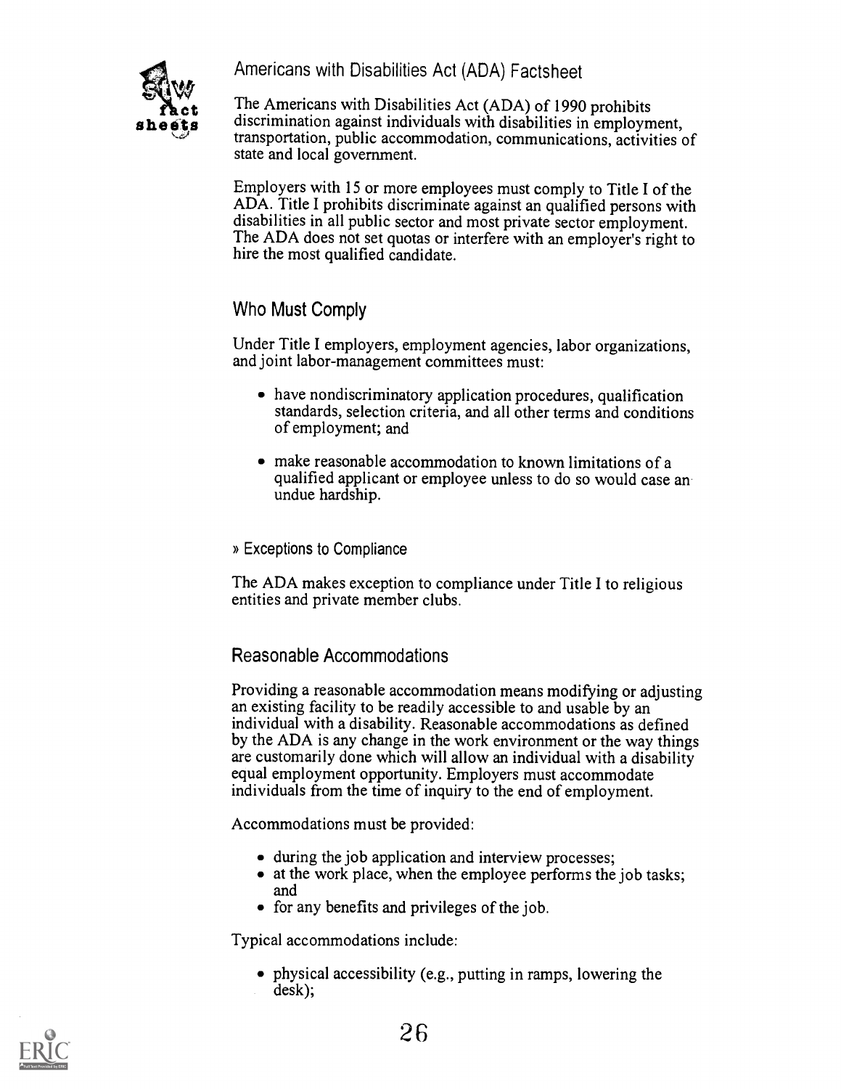Americans with Disabilities Act (ADA) Factsheet



**COLUTE:** The Americans with Disabilities Act (ADA) of 1990 prohibits<br> **sheets**discrimination against individuals with disabilities in employment, The Americans with Disabilities Act (ADA) of 1990 prohibits transportation, public accommodation, communications, activities of state and local government.

> Employers with 15 or more employees must comply to Title I of the ADA. Title I prohibits discriminate against an qualified persons with disabilities in all public sector and most private sector employment. The ADA does not set quotas or interfere with an employer's right to hire the most qualified candidate.

Who Must Comply

Under Title I employers, employment agencies, labor organizations, and joint labor-management committees must:

- have nondiscriminatory application procedures, qualification standards, selection criteria, and all other terms and conditions of employment; and
- make reasonable accommodation to known limitations of a qualified applicant or employee unless to do so would case an undue hardship.

» Exceptions to Compliance

The ADA makes exception to compliance under Title I to religious entities and private member clubs.

## Reasonable Accommodations

Providing a reasonable accommodation means modifying or adjusting an existing facility to be readily accessible to and usable by an individual with a disability. Reasonable accommodations as defined by the ADA is any change in the work environment or the way things are customarily done which will allow an individual with a disability equal employment opportunity. Employers must accommodate individuals from the time of inquiry to the end of employment.

Accommodations must be provided:

- during the job application and interview processes;
- at the work place, when the employee performs the job tasks; and
- for any benefits and privileges of the job.

Typical accommodations include:

physical accessibility (e.g., putting in ramps, lowering the desk);

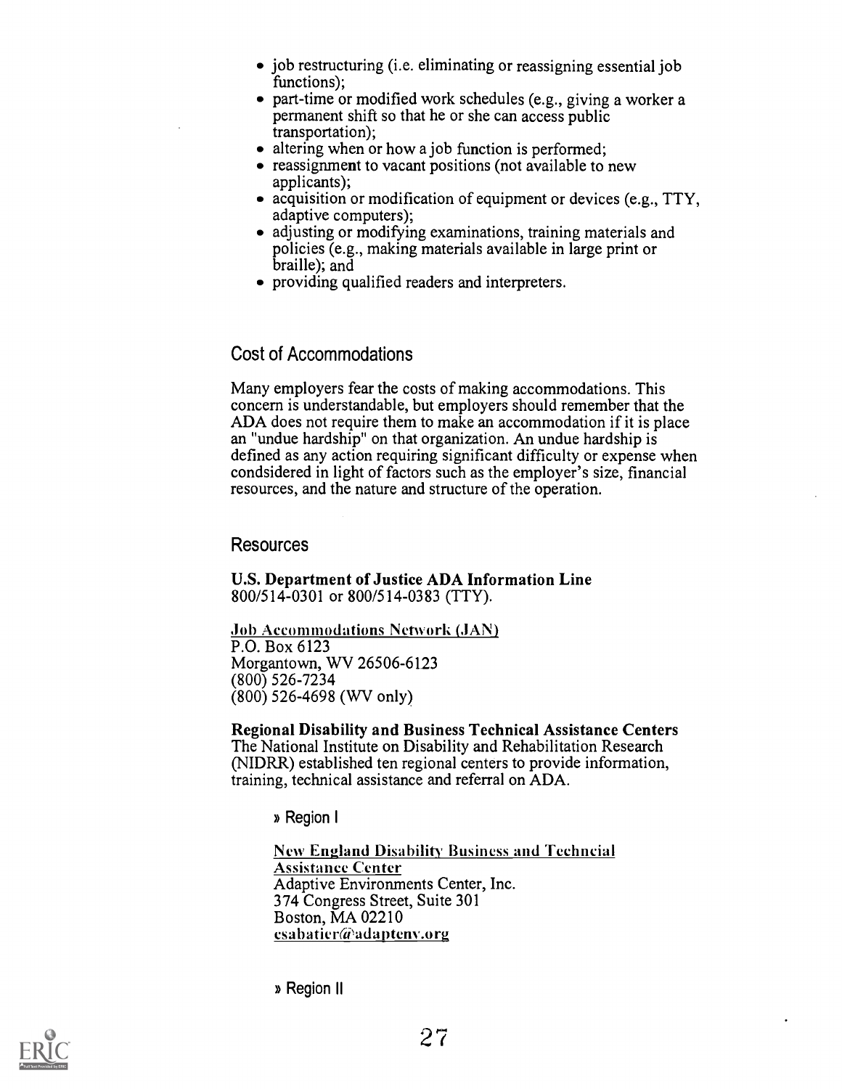- job restructuring (i.e. eliminating or reassigning essential job functions);
- part-time or modified work schedules (e.g., giving a worker a permanent shift so that he or she can access public transportation);
- altering when or how a job function is performed;
- reassignment to vacant positions (not available to new applicants);
- acquisition or modification of equipment or devices (e.g., TTY, adaptive computers);
- adjusting or modifying examinations, training materials and policies (e.g., making materials available in large print or braille); and
- providing qualified readers and interpreters.

### Cost of Accommodations

Many employers fear the costs of making accommodations. This concern is understandable, but employers should remember that the ADA does not require them to make an accommodation if it is place an "undue hardship" on that organization. An undue hardship is defined as any action requiring significant difficulty or expense when condsidered in light of factors such as the employer's size, financial resources, and the nature and structure of the operation.

#### Resources

U.S. Department of Justice ADA Information Line 800/514-0301 or 800/514-0383 (TTY).

Job Accommodations Network (JAN) P.O. Box 6123 Morgantown, WV 26506-6123 (800) 526-7234 (800) 526-4698 (WV only)

Regional Disability and Business Technical Assistance Centers The National Institute on Disability and Rehabilitation Research (NIDRR) established ten regional centers to provide information, training, technical assistance and referral on ADA.

» Region I

New England Disability Business and Techncial Assistance Center Adaptive Environments Center, Inc. 374 Congress Street, Suite 301 Boston, MA 02210  $csabaticr@adaptenv.org$ 

» Region II

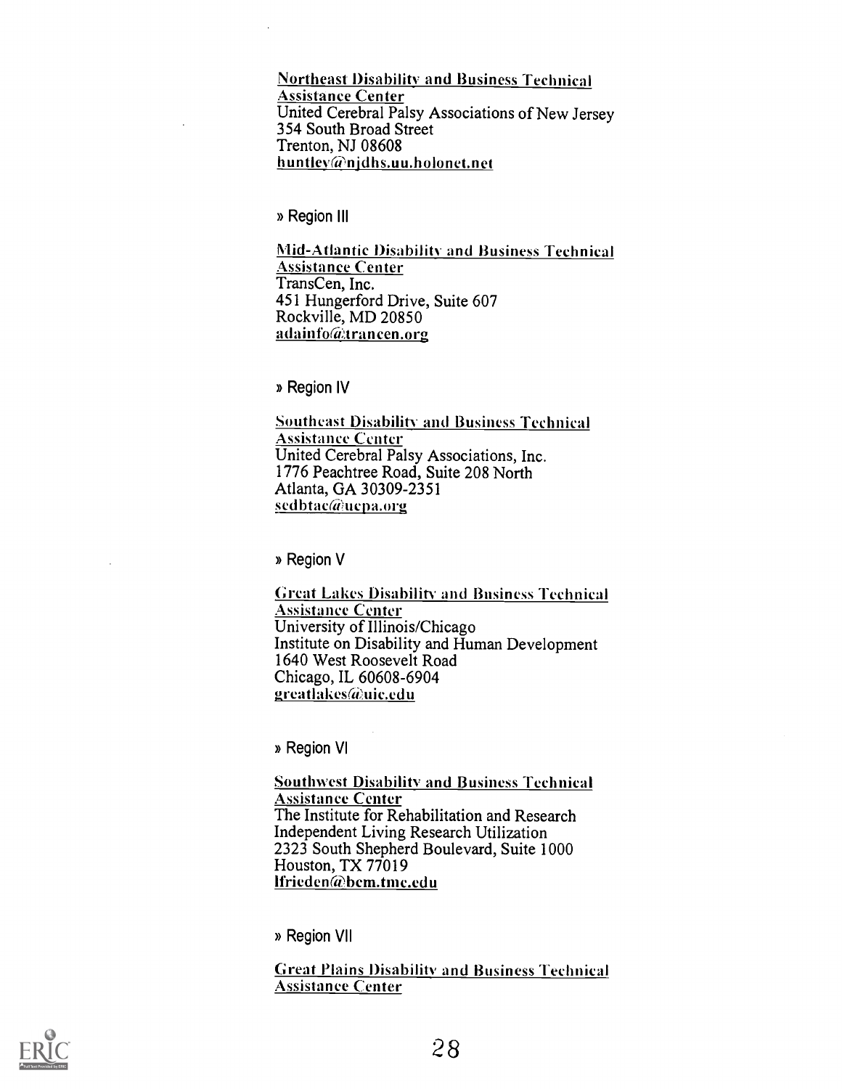Northeast Disability and Business Technical Assistance Center United Cerebral Palsy Associations of New Jersey 354 South Broad Street Trenton, NJ 08608 huntley@njdhs.uu.holonet.net

» Region III

Mid-Atlantic Disability. and Business Technical Assistance Center TransCen, Inc. 451 Hungerford Drive, Suite 607 Rockville, MD 20850 a da info@trancen.org

» Region IV

Southeast Disability and Business Technical Assistance Center United Cerebral Palsy Associations, Inc. 1776 Peachtree Road, Suite 208 North Atlanta, GA 30309-2351 sedbtac@ucpa.org

» Region V

Great Lakes Disability and Business Technical Assistance Center University of Illinois/Chicago Institute on Disability and Human Development 1640 West Roosevelt Road Chicago, IL 60608-6904 greatlakes@uic.edu

» Region VI

Southwest Disability and Business Technical **Assistance Center** The Institute for Rehabilitation and Research Independent Living Research Utilization 2323 South Shepherd Boulevard, Suite 1000 Houston, TX 77019 lfrieden@bcm.tmc.edu

» Region VII

Great Plains Disability and Business Technical Assistance Center

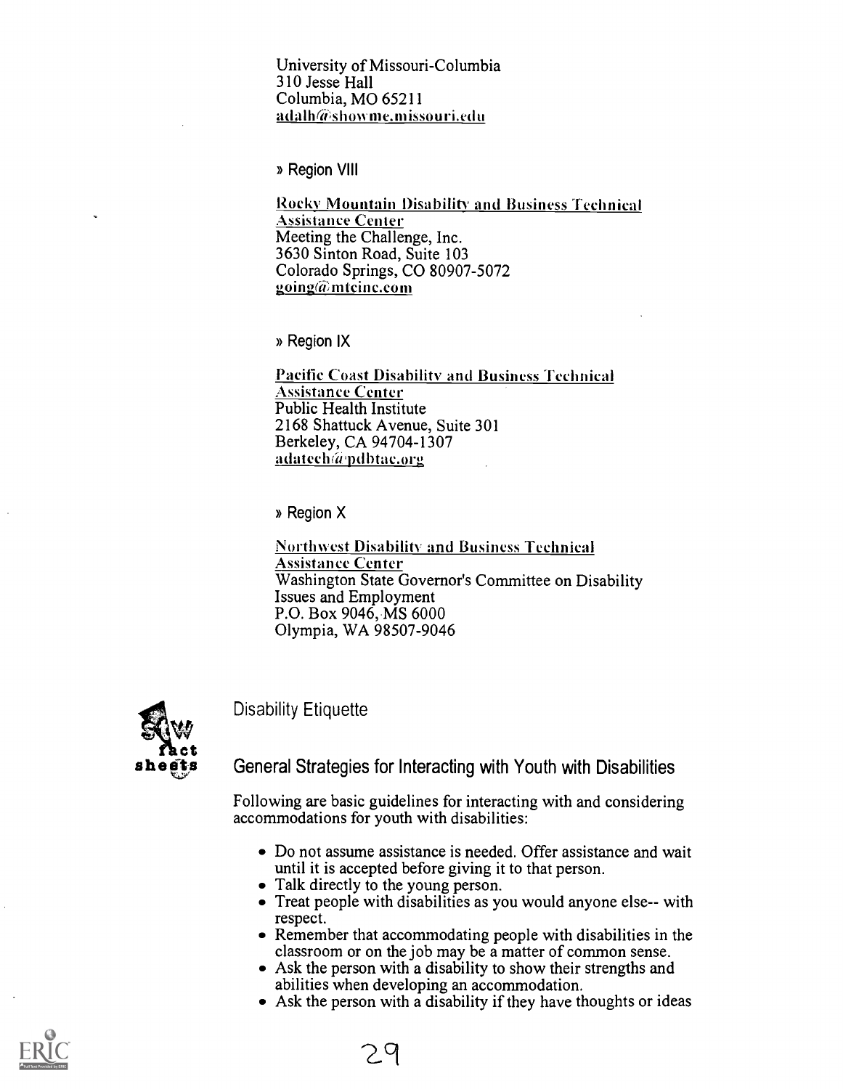University of Missouri-Columbia 310 Jesse Hall Columbia, MO 65211  $adah@showne.missouri.edu$ 

» Region VIII

Rocky Mountain Disability and Business Technical Assistance Center Meeting the Challenge, Inc. 3630 Sinton Road, Suite 103 Colorado Springs, CO 80907-5072 going $\omega$ mteine.com

» Region IX

Pacific Coast Disability and Business Technical Assistance Center Public Health Institute 2168 Shattuck Avenue, Suite 301 Berkeley, CA 94704-1307 adatech@pdbtac.org

» Region X

Northwest Disability and Business Technical Assistance Center Washington State Governor's Committee on Disability Issues and Employment P.O. Box 9046,.MS 6000 Olympia, WA 98507-9046



Disability Etiquette

# **Tact**<br> **sheets** General Strategies for Interacting with Youth with Disabilities

Following are basic guidelines for interacting with and considering accommodations for youth with disabilities:

- Do not assume assistance is needed. Offer assistance and wait until it is accepted before giving it to that person.
- Talk directly to the young person.
- Treat people with disabilities as you would anyone else-- with respect.
- Remember that accommodating people with disabilities in the classroom or on the job may be a matter of common sense.
- Ask the person with a disability to show their strengths and abilities when developing an accommodation.
- Ask the person with a disability if they have thoughts or ideas

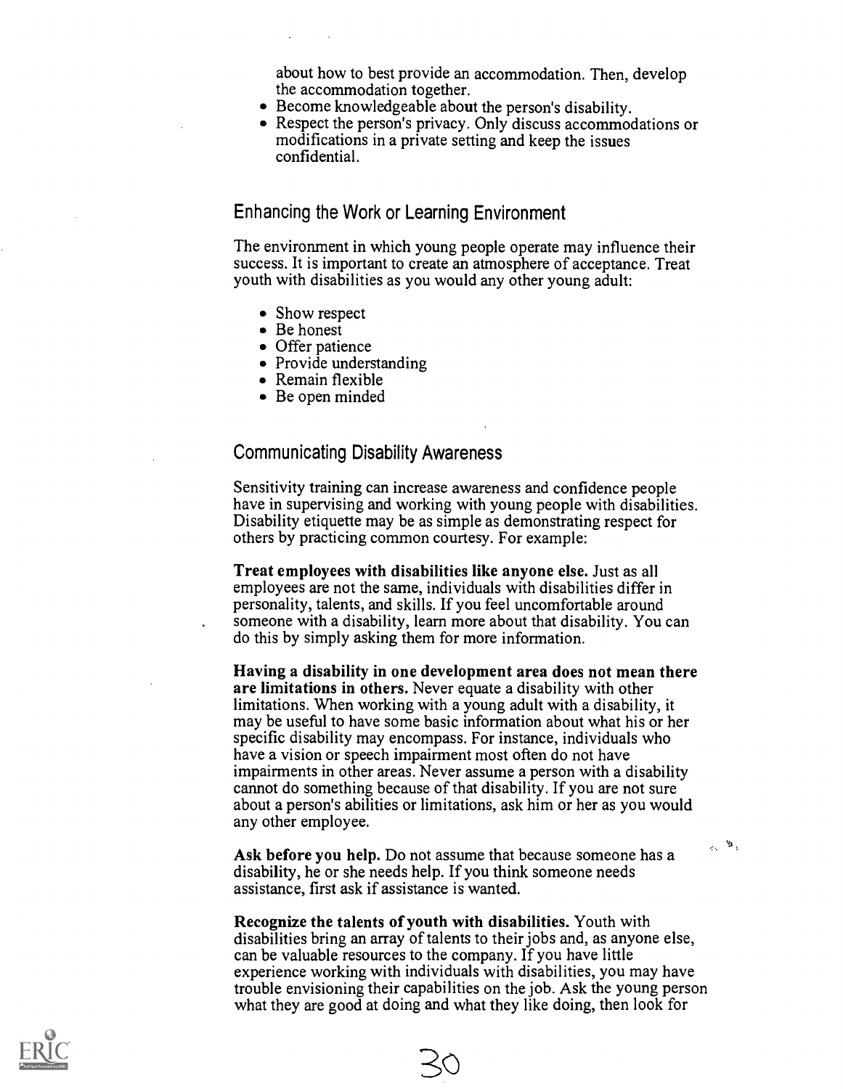about how to best provide an accommodation. Then, develop the accommodation together.

- Become knowledgeable about the person's disability.
- Respect the person's privacy. Only discuss accommodations or modifications in a private setting and keep the issues confidential.

Enhancing the Work or Learning Environment

The environment in which young people operate may influence their success. It is important to create an atmosphere of acceptance. Treat youth with disabilities as you would any other young adult:

- Show respect
- Be honest
- Offer patience
- Provide understanding
- Remain flexible
- Be open minded

#### Communicating Disability Awareness

Sensitivity training can increase awareness and confidence people have in supervising and working with young people with disabilities. Disability etiquette may be as simple as demonstrating respect for others by practicing common courtesy. For example:

Treat employees with disabilities like anyone else. Just as all employees are not the same, individuals with disabilities differ in personality, talents, and skills. If you feel uncomfortable around someone with a disability, learn more about that disability. You can do this by simply asking them for more information.

Having a disability in one development area does not mean there are limitations in others. Never equate a disability with other limitations. When working with a young adult with a disability, it may be useful to have some basic information about what his or her specific disability may encompass. For instance, individuals who have a vision or speech impairment most often do not have impairments in other areas. Never assume a person with a disability cannot do something because of that disability. If you are not sure about a person's abilities or limitations, ask him or her as you would any other employee.

Ask before you help. Do not assume that because someone has a disability, he or she needs help. If you think someone needs assistance, first ask if assistance is wanted.

Recognize the talents of youth with disabilities. Youth with disabilities bring an array of talents to their jobs and, as anyone else, can be valuable resources to the company. If you have little experience working with individuals with disabilities, you may have trouble envisioning their capabilities on the job. Ask the young person what they are good at doing and what they like doing, then look for

30

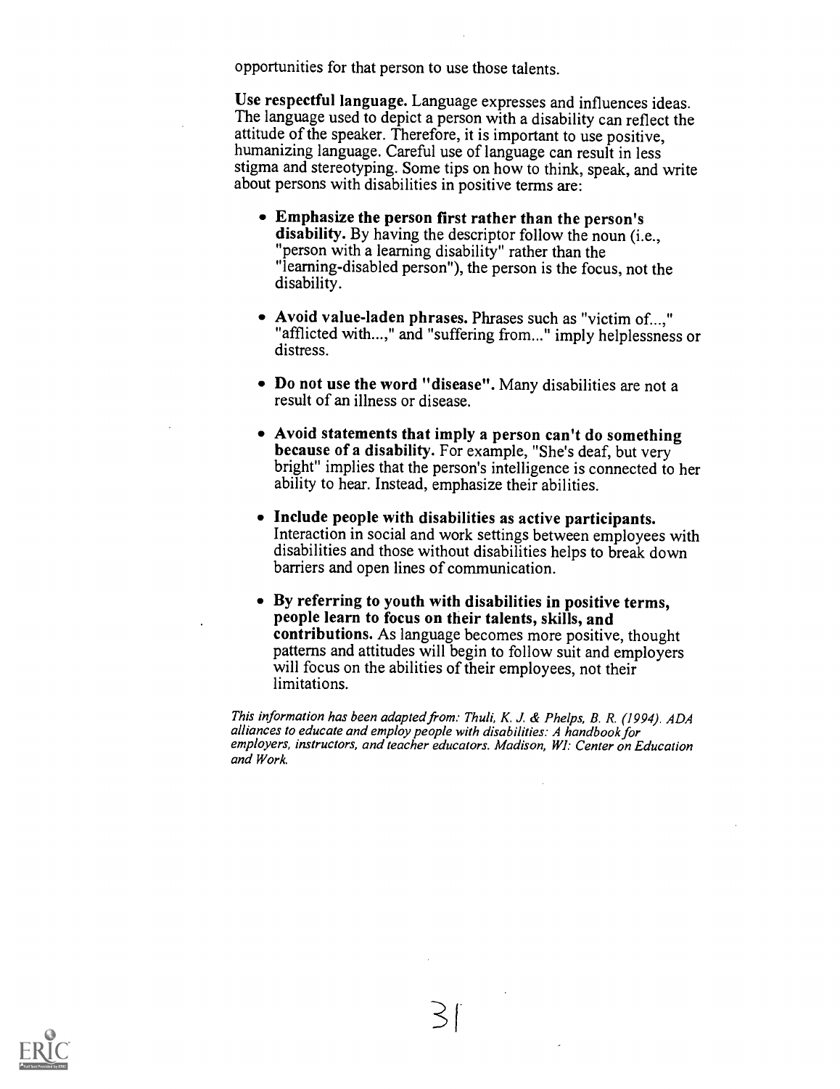opportunities for that person to use those talents.

Use respectful language. Language expresses and influences ideas. The language used to depict a person with a disability can reflect the attitude of the speaker. Therefore, it is important to use positive, humanizing language. Careful use of language can result in less stigma and stereotyping. Some tips on how to think, speak, and write about persons with disabilities in positive terms are:

- Emphasize the person first rather than the person's disability. By having the descriptor follow the noun (i.e., "person with a learning disability" rather than the "learning-disabled person"), the person is the focus, not the disability.
- Avoid value-laden phrases. Phrases such as "victim of...," "afflicted with...," and "suffering from..." imply helplessness or distress.
- Do not use the word "disease". Many disabilities are not a result of an illness or disease.
- Avoid statements that imply a person can't do something because of a disability. For example, "She's deaf, but very bright" implies that the person's intelligence is connected to her ability to hear. Instead, emphasize their abilities.
- Include people with disabilities as active participants. Interaction in social and work settings between employees with disabilities and those without disabilities helps to break down barriers and open lines of communication.
- By referring to youth with disabilities in positive terms, people learn to focus on their talents, skills, and contributions. As language becomes more positive, thought patterns and attitudes will begin to follow suit and employers will focus on the abilities of their employees, not their limitations.

This information has been adapted from. Thuli, K. J. & Phelps, B. R. (1994). ADA alliances to educate and employ people with disabilities: A handbook for employers, instructors, and teacher educators. Madison, WI: Center on Education and Work.

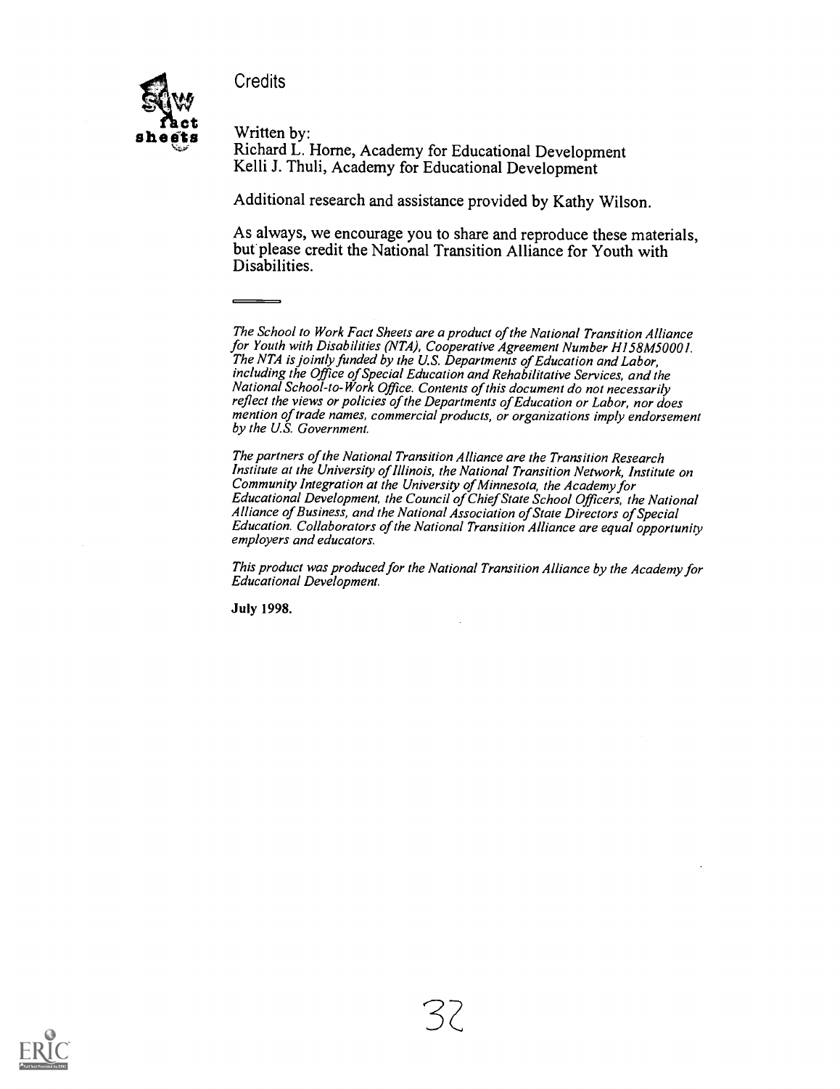Credits



Richard L. Horne, Academy for Educational Development Kelli J. Thuli, Academy for Educational Development

Additional research and assistance provided by Kathy Wilson.

As always, we encourage you to share and reproduce these materials, but please credit the National Transition Alliance for Youth with Disabilities.

The School to Work Fact Sheets are a product of the National Transition Alliance for Youth with Disabilities (NTA), Cooperative Agreement Number H158M50001. The NTA is jointly funded by the US. Departments of Education and Labor, including the Office of Special Education and Rehabilitative Services, and the National School-to-Work Office. Contents of this document do not necessarily reflect the views or policies of the Departments of Education or Labor, nor does mention of trade names, commercial products, or organizations imply endorsement by the U.S. Government.

The partners of the National Transition Alliance are the Transition Research Institute at the University of Illinois, the National Transition Network, Institute on Community Integration at the University of Minnesota, the Academy for Educational Development, the Council of Chief State School Officers, the National Alliance of Business, and the National Association of State Directors of Special Education. Collaborators of the National Transition Alliance are equal opportunity employers and educators.

This product was produced for the National Transition Alliance by the Academy for Educational Development.

July 1998.